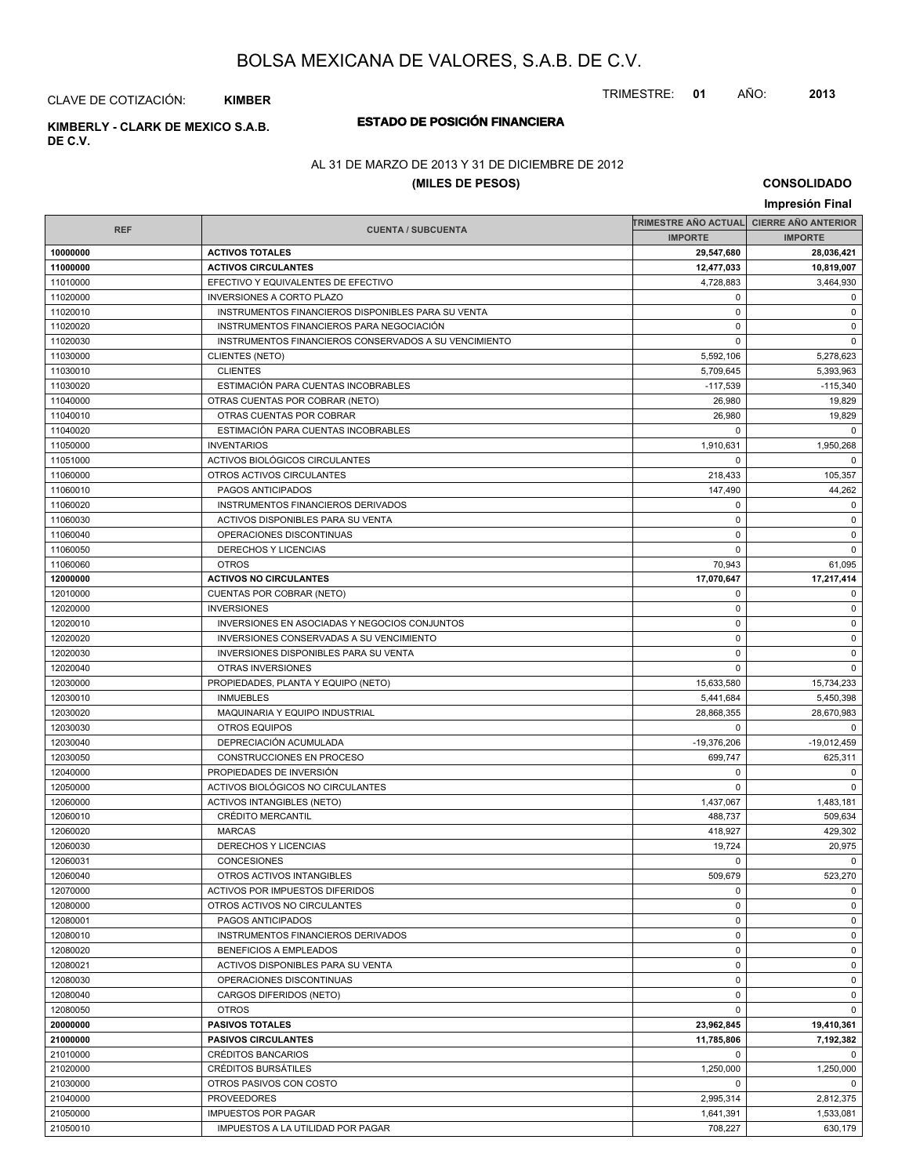TRIMESTRE: **01** AÑO: **2013**

CLAVE DE COTIZACIÓN: **KIMBER**

## **ESTADO DE POSICIÓN FINANCIERA KIMBERLY - CLARK DE MEXICO S.A.B.**

**DE C.V.**

## AL 31 DE MARZO DE 2013 Y 31 DE DICIEMBRE DE 2012

## **(MILES DE PESOS)**

|                      |                                                         |                         | Impresión Final            |
|----------------------|---------------------------------------------------------|-------------------------|----------------------------|
|                      |                                                         | TRIMESTRE AÑO ACTUAL    | <b>CIERRE AÑO ANTERIOR</b> |
| <b>REF</b>           | <b>CUENTA / SUBCUENTA</b>                               | <b>IMPORTE</b>          | <b>IMPORTE</b>             |
| 10000000             | <b>ACTIVOS TOTALES</b>                                  | 29,547,680              | 28,036,421                 |
| 11000000             | <b>ACTIVOS CIRCULANTES</b>                              | 12,477,033              | 10,819,007                 |
| 11010000             | EFECTIVO Y EQUIVALENTES DE EFECTIVO                     | 4,728,883               | 3,464,930                  |
| 11020000             | <b>INVERSIONES A CORTO PLAZO</b>                        | 0                       | 0                          |
| 11020010             | INSTRUMENTOS FINANCIEROS DISPONIBLES PARA SU VENTA      | $\mathbf 0$             | 0                          |
| 11020020             | INSTRUMENTOS FINANCIEROS PARA NEGOCIACIÓN               | $\mathbf 0$             | 0                          |
| 11020030             | INSTRUMENTOS FINANCIEROS CONSERVADOS A SU VENCIMIENTO   | 0                       | $\mathbf 0$                |
| 11030000             | <b>CLIENTES (NETO)</b>                                  | 5,592,106               | 5,278,623                  |
| 11030010             | <b>CLIENTES</b>                                         | 5,709,645               | 5,393,963                  |
| 11030020             | ESTIMACIÓN PARA CUENTAS INCOBRABLES                     | $-117,539$              | $-115.340$                 |
| 11040000             | OTRAS CUENTAS POR COBRAR (NETO)                         | 26,980                  | 19,829                     |
| 11040010             | OTRAS CUENTAS POR COBRAR                                | 26,980                  | 19,829                     |
| 11040020             | ESTIMACIÓN PARA CUENTAS INCOBRABLES                     | 0                       | $\mathbf 0$                |
| 11050000             | <b>INVENTARIOS</b>                                      | 1,910,631               | 1,950,268                  |
| 11051000             | ACTIVOS BIOLÓGICOS CIRCULANTES                          | 0                       | $\mathbf 0$                |
| 11060000             | OTROS ACTIVOS CIRCULANTES                               | 218,433                 | 105,357                    |
| 11060010             | PAGOS ANTICIPADOS                                       | 147,490                 | 44,262                     |
| 11060020             | INSTRUMENTOS FINANCIEROS DERIVADOS                      | $\mathbf 0$             | 0                          |
| 11060030             | ACTIVOS DISPONIBLES PARA SU VENTA                       | 0                       | $\mathbf 0$                |
| 11060040             | OPERACIONES DISCONTINUAS                                | $\mathbf 0$             | 0                          |
| 11060050             | DERECHOS Y LICENCIAS                                    | $\Omega$                | $\mathbf 0$                |
| 11060060             | <b>OTROS</b>                                            | 70,943                  | 61,095                     |
| 12000000             | <b>ACTIVOS NO CIRCULANTES</b>                           | 17,070,647              | 17,217,414                 |
| 12010000             | <b>CUENTAS POR COBRAR (NETO)</b>                        | 0                       | 0                          |
| 12020000             | <b>INVERSIONES</b>                                      | 0                       | $\mathbf 0$                |
| 12020010             | INVERSIONES EN ASOCIADAS Y NEGOCIOS CONJUNTOS           | $\mathbf 0$             | 0                          |
| 12020020             | INVERSIONES CONSERVADAS A SU VENCIMIENTO                | $\mathbf 0$             | 0                          |
| 12020030             | <b>INVERSIONES DISPONIBLES PARA SU VENTA</b>            | $\mathbf 0$             | $\mathbf 0$                |
|                      | OTRAS INVERSIONES                                       | $\mathbf 0$             | $\mathbf 0$                |
| 12020040             |                                                         |                         |                            |
| 12030000<br>12030010 | PROPIEDADES, PLANTA Y EQUIPO (NETO)<br><b>INMUEBLES</b> | 15,633,580<br>5,441,684 | 15,734,233                 |
|                      |                                                         |                         | 5,450,398                  |
| 12030020             | MAQUINARIA Y EQUIPO INDUSTRIAL                          | 28,868,355              | 28,670,983                 |
| 12030030             | <b>OTROS EQUIPOS</b>                                    | 0                       | $\mathbf 0$                |
| 12030040             | DEPRECIACIÓN ACUMULADA                                  | $-19,376,206$           | $-19,012,459$              |
| 12030050             | CONSTRUCCIONES EN PROCESO                               | 699,747                 | 625,311                    |
| 12040000             | PROPIEDADES DE INVERSIÓN                                | 0                       | 0                          |
| 12050000             | ACTIVOS BIOLÓGICOS NO CIRCULANTES                       | 0                       | $\mathbf 0$                |
| 12060000             | <b>ACTIVOS INTANGIBLES (NETO)</b>                       | 1,437,067               | 1,483,181                  |
| 12060010             | <b>CRÉDITO MERCANTIL</b>                                | 488,737                 | 509,634                    |
| 12060020             | <b>MARCAS</b>                                           | 418,927                 | 429,302                    |
| 12060030             | DERECHOS Y LICENCIAS                                    | 19,724                  | 20,975                     |
| 12060031             | CONCESIONES                                             | $\mathbf 0$             | $\Omega$                   |
| 12060040             | OTROS ACTIVOS INTANGIBLES                               | 509,679                 | 523,270                    |
| 12070000             | ACTIVOS POR IMPUESTOS DIFERIDOS                         | 0                       | 0                          |
| 12080000             | OTROS ACTIVOS NO CIRCULANTES                            | $\mathbf 0$             | 0                          |
| 12080001             | PAGOS ANTICIPADOS                                       | 0                       | 0                          |
| 12080010             | INSTRUMENTOS FINANCIEROS DERIVADOS                      | 0                       | 0                          |
| 12080020             | BENEFICIOS A EMPLEADOS                                  | 0                       | 0                          |
| 12080021             | ACTIVOS DISPONIBLES PARA SU VENTA                       | 0                       | 0                          |
| 12080030             | OPERACIONES DISCONTINUAS                                | $\mathbf 0$             | 0                          |
| 12080040             | CARGOS DIFERIDOS (NETO)                                 | 0                       | 0                          |
| 12080050             | <b>OTROS</b>                                            | 0                       | $\mathbf 0$                |
| 20000000             | <b>PASIVOS TOTALES</b>                                  | 23,962,845              | 19,410,361                 |
| 21000000             | <b>PASIVOS CIRCULANTES</b>                              | 11,785,806              | 7,192,382                  |
| 21010000             | <b>CRÉDITOS BANCARIOS</b>                               | 0                       | $\mathbf 0$                |
| 21020000             | <b>CRÉDITOS BURSATILES</b>                              | 1,250,000               | 1,250,000                  |
| 21030000             | OTROS PASIVOS CON COSTO                                 | 0                       | 0                          |
| 21040000             | <b>PROVEEDORES</b>                                      | 2,995,314               | 2,812,375                  |
| 21050000             | <b>IMPUESTOS POR PAGAR</b>                              | 1,641,391               | 1,533,081                  |
| 21050010             | IMPUESTOS A LA UTILIDAD POR PAGAR                       | 708,227                 | 630,179                    |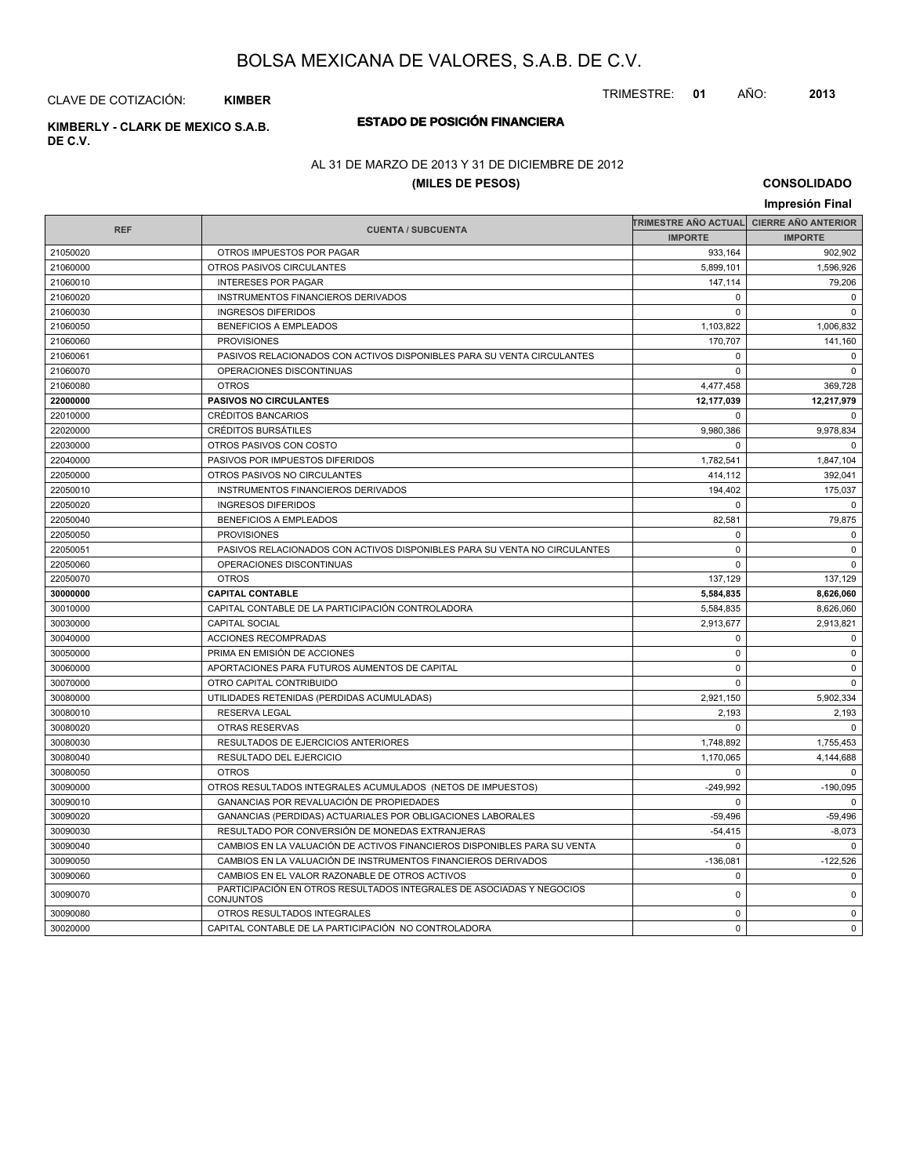TRIMESTRE: **01** AÑO: **2013**

CLAVE DE COTIZACIÓN: **KIMBER**

# **DE C.V.**

## **ESTADO DE POSICIÓN FINANCIERA KIMBERLY - CLARK DE MEXICO S.A.B.**

## AL 31 DE MARZO DE 2013 Y 31 DE DICIEMBRE DE 2012

## **(MILES DE PESOS)**

|            |                                                                                   |                      | Impresión Final            |
|------------|-----------------------------------------------------------------------------------|----------------------|----------------------------|
|            |                                                                                   | TRIMESTRE AÑO ACTUAL | <b>CIERRE AÑO ANTERIOR</b> |
| <b>REF</b> | <b>CUENTA / SUBCUENTA</b>                                                         | <b>IMPORTE</b>       | <b>IMPORTE</b>             |
| 21050020   | OTROS IMPUESTOS POR PAGAR                                                         | 933,164              | 902,902                    |
| 21060000   | OTROS PASIVOS CIRCULANTES                                                         | 5,899,101            | 1,596,926                  |
| 21060010   | <b>INTERESES POR PAGAR</b>                                                        | 147,114              | 79,206                     |
| 21060020   | <b>INSTRUMENTOS FINANCIEROS DERIVADOS</b>                                         | $\Omega$             | $\Omega$                   |
| 21060030   | <b>INGRESOS DIFERIDOS</b>                                                         | $\Omega$             | $\Omega$                   |
| 21060050   | <b>BENEFICIOS A EMPLEADOS</b>                                                     | 1,103,822            | 1,006,832                  |
| 21060060   | <b>PROVISIONES</b>                                                                | 170.707              | 141,160                    |
| 21060061   | PASIVOS RELACIONADOS CON ACTIVOS DISPONIBLES PARA SU VENTA CIRCULANTES            | $\mathbf 0$          | $\Omega$                   |
| 21060070   | OPERACIONES DISCONTINUAS                                                          | $\Omega$             | $\mathbf 0$                |
| 21060080   | <b>OTROS</b>                                                                      | 4,477,458            | 369,728                    |
| 22000000   | <b>PASIVOS NO CIRCULANTES</b>                                                     | 12,177,039           | 12,217,979                 |
| 22010000   | <b>CRÉDITOS BANCARIOS</b>                                                         | $\mathbf 0$          | $\Omega$                   |
| 22020000   | <b>CRÉDITOS BURSÁTILES</b>                                                        | 9,980,386            | 9,978,834                  |
| 22030000   | OTROS PASIVOS CON COSTO                                                           | $\Omega$             | $\Omega$                   |
| 22040000   | PASIVOS POR IMPUESTOS DIFERIDOS                                                   | 1,782,541            | 1,847,104                  |
| 22050000   | OTROS PASIVOS NO CIRCULANTES                                                      | 414,112              | 392,041                    |
| 22050010   | INSTRUMENTOS FINANCIEROS DERIVADOS                                                | 194,402              | 175,037                    |
| 22050020   | <b>INGRESOS DIFERIDOS</b>                                                         | $\mathbf 0$          | $\mathbf 0$                |
| 22050040   | <b>BENEFICIOS A EMPLEADOS</b>                                                     | 82,581               | 79,875                     |
| 22050050   | <b>PROVISIONES</b>                                                                | $\mathbf 0$          | $\Omega$                   |
| 22050051   | PASIVOS RELACIONADOS CON ACTIVOS DISPONIBLES PARA SU VENTA NO CIRCULANTES         | $\mathbf 0$          | $\mathbf 0$                |
| 22050060   | OPERACIONES DISCONTINUAS                                                          | $\Omega$             | $\Omega$                   |
| 22050070   | <b>OTROS</b>                                                                      | 137,129              | 137,129                    |
| 30000000   | <b>CAPITAL CONTABLE</b>                                                           | 5,584,835            | 8,626,060                  |
| 30010000   | CAPITAL CONTABLE DE LA PARTICIPACIÓN CONTROLADORA                                 | 5,584,835            | 8,626,060                  |
| 30030000   | <b>CAPITAL SOCIAL</b>                                                             | 2,913,677            | 2,913,821                  |
| 30040000   | ACCIONES RECOMPRADAS                                                              | $\mathbf 0$          | $\mathbf 0$                |
| 30050000   | PRIMA EN EMISIÓN DE ACCIONES                                                      | $\mathbf 0$          | $\Omega$                   |
| 30060000   | APORTACIONES PARA FUTUROS AUMENTOS DE CAPITAL                                     | $\mathbf 0$          | $\mathbf 0$                |
| 30070000   | OTRO CAPITAL CONTRIBUIDO                                                          | $\mathbf 0$          | $\mathbf 0$                |
| 30080000   | UTILIDADES RETENIDAS (PERDIDAS ACUMULADAS)                                        | 2,921,150            | 5,902,334                  |
| 30080010   | <b>RESERVA LEGAL</b>                                                              | 2,193                | 2,193                      |
| 30080020   | OTRAS RESERVAS                                                                    | $\Omega$             | $\Omega$                   |
| 30080030   | RESULTADOS DE EJERCICIOS ANTERIORES                                               | 1,748,892            | 1,755,453                  |
| 30080040   | RESULTADO DEL EJERCICIO                                                           | 1,170,065            | 4,144,688                  |
| 30080050   | <b>OTROS</b>                                                                      | $\mathbf 0$          | $\mathbf 0$                |
| 30090000   | OTROS RESULTADOS INTEGRALES ACUMULADOS (NETOS DE IMPUESTOS)                       | $-249,992$           | $-190,095$                 |
| 30090010   | GANANCIAS POR REVALUACIÓN DE PROPIEDADES                                          | $\mathbf 0$          | $\mathbf 0$                |
| 30090020   | GANANCIAS (PERDIDAS) ACTUARIALES POR OBLIGACIONES LABORALES                       | $-59,496$            | $-59,496$                  |
| 30090030   | RESULTADO POR CONVERSIÓN DE MONEDAS EXTRANJERAS                                   | $-54,415$            | $-8.073$                   |
| 30090040   | CAMBIOS EN LA VALUACIÓN DE ACTIVOS FINANCIEROS DISPONIBLES PARA SU VENTA          | $\Omega$             | $\Omega$                   |
| 30090050   | CAMBIOS EN LA VALUACIÓN DE INSTRUMENTOS FINANCIEROS DERIVADOS                     | $-136,081$           | $-122,526$                 |
| 30090060   | CAMBIOS EN EL VALOR RAZONABLE DE OTROS ACTIVOS                                    | $\mathbf 0$          | $\mathbf 0$                |
| 30090070   | PARTICIPACIÓN EN OTROS RESULTADOS INTEGRALES DE ASOCIADAS Y NEGOCIOS<br>CONJUNTOS | $\pmb{0}$            | $\mathbf 0$                |
| 30090080   | OTROS RESULTADOS INTEGRALES                                                       | $\Omega$             | $\Omega$                   |
| 30020000   | CAPITAL CONTABLE DE LA PARTICIPACIÓN NO CONTROLADORA                              | $\mathbf 0$          | $\mathbf 0$                |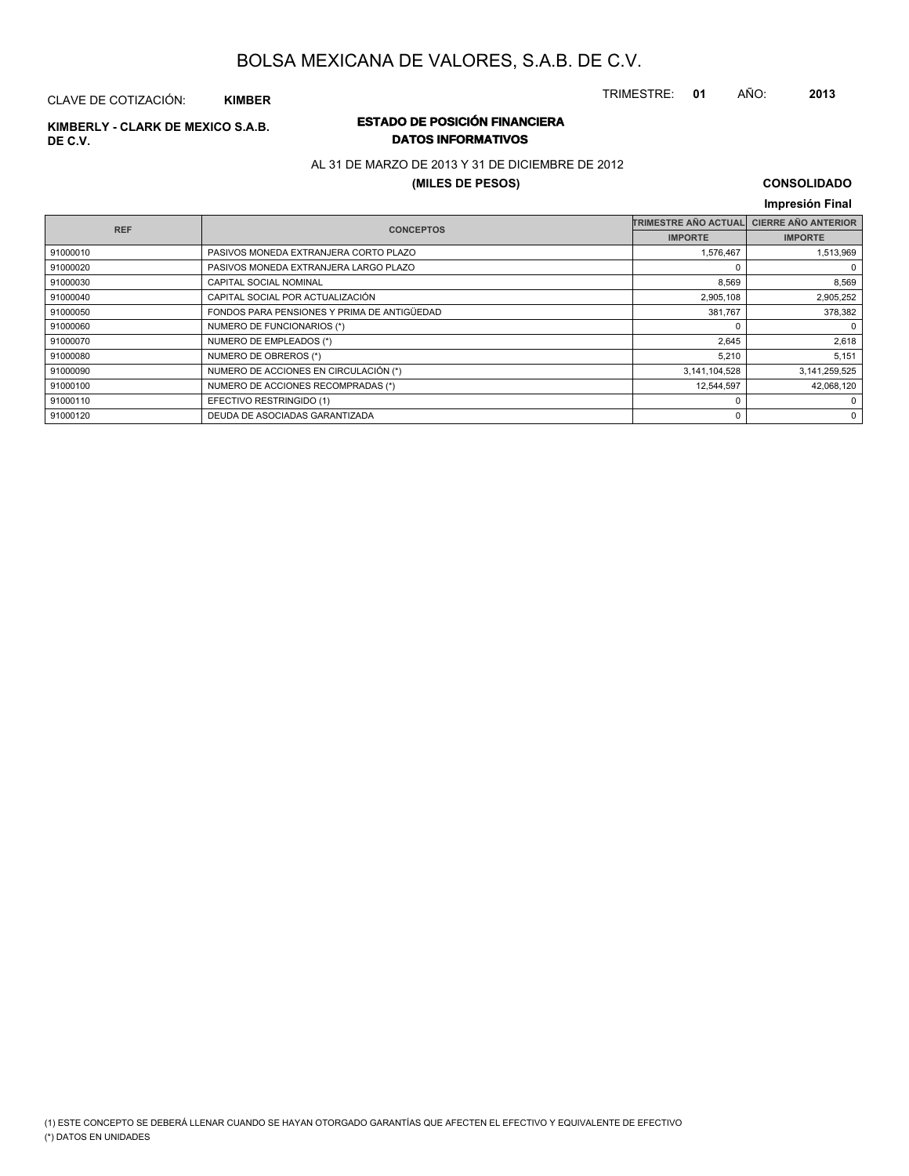TRIMESTRE: **01** AÑO: **2013**

## CLAVE DE COTIZACIÓN: **KIMBER**

# **DE C.V.**

Г

## **ESTADO DE POSICIÓN FINANCIERA KIMBERLY - CLARK DE MEXICO S.A.B. DATOS INFORMATIVOS**

## AL 31 DE MARZO DE 2013 Y 31 DE DICIEMBRE DE 2012

### **(MILES DE PESOS)**

### **CONSOLIDADO Impresión Final**

| <b>REF</b> | <b>CONCEPTOS</b>                            | <b>TRIMESTRE AÑO ACTUAL</b> | <b>CIERRE AÑO ANTERIOR</b> |
|------------|---------------------------------------------|-----------------------------|----------------------------|
|            |                                             | <b>IMPORTE</b>              | <b>IMPORTE</b>             |
| 91000010   | PASIVOS MONEDA EXTRANJERA CORTO PLAZO       | 1,576,467                   | 1,513,969                  |
| 91000020   | PASIVOS MONEDA EXTRANJERA LARGO PLAZO       | $\Omega$                    | 0                          |
| 91000030   | <b>CAPITAL SOCIAL NOMINAL</b>               | 8,569                       | 8,569                      |
| 91000040   | CAPITAL SOCIAL POR ACTUALIZACIÓN            | 2,905,108                   | 2,905,252                  |
| 91000050   | FONDOS PARA PENSIONES Y PRIMA DE ANTIGÜEDAD | 381,767                     | 378,382                    |
| 91000060   | NUMERO DE FUNCIONARIOS (*)                  | $\Omega$                    | 0                          |
| 91000070   | NUMERO DE EMPLEADOS (*)                     | 2,645                       | 2,618                      |
| 91000080   | NUMERO DE OBREROS (*)                       | 5,210                       | 5,151                      |
| 91000090   | NUMERO DE ACCIONES EN CIRCULACIÓN (*)       | 3,141,104,528               | 3, 141, 259, 525           |
| 91000100   | NUMERO DE ACCIONES RECOMPRADAS (*)          | 12.544.597                  | 42,068,120                 |
| 91000110   | EFECTIVO RESTRINGIDO (1)                    | $^{\circ}$                  | 0                          |
| 91000120   | DEUDA DE ASOCIADAS GARANTIZADA              | 0                           | 0                          |
|            |                                             |                             |                            |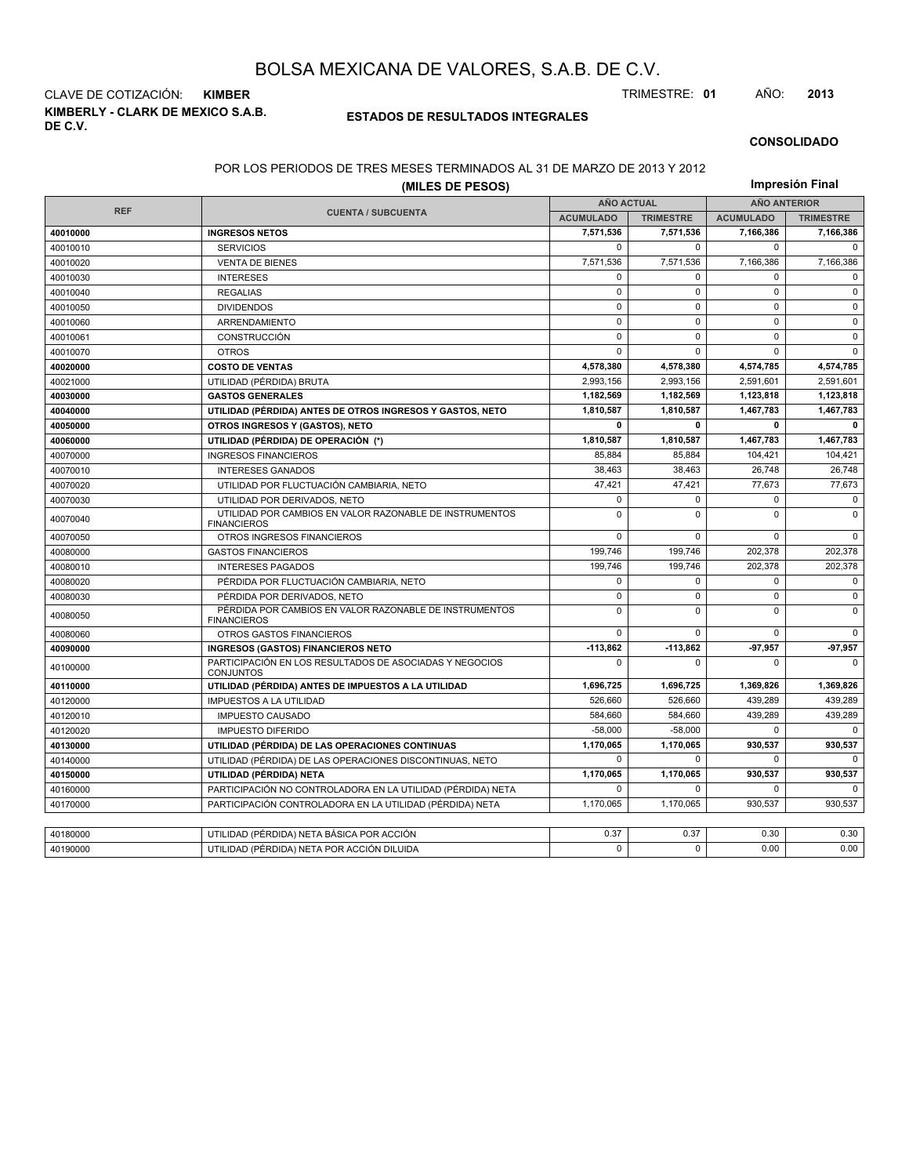**KIMBERLY - CLARK DE MEXICO S.A.B. DE C.V.** CLAVE DE COTIZACIÓN: **KIMBER** TRIMESTRE: **01** AÑO: **2013**

#### **ESTADOS DE RESULTADOS INTEGRALES**

#### **CONSOLIDADO**

#### POR LOS PERIODOS DE TRES MESES TERMINADOS AL 31 DE MARZO DE 2013 Y 2012

| (MILES DE PESOS) |                                                                               |                   |                  | Impresión Final     |                  |  |
|------------------|-------------------------------------------------------------------------------|-------------------|------------------|---------------------|------------------|--|
|                  |                                                                               | <b>AÑO ACTUAL</b> |                  | <b>AÑO ANTERIOR</b> |                  |  |
| <b>REF</b>       | <b>CUENTA / SUBCUENTA</b>                                                     | <b>ACUMULADO</b>  | <b>TRIMESTRE</b> | <b>ACUMULADO</b>    | <b>TRIMESTRE</b> |  |
| 40010000         | <b>INGRESOS NETOS</b>                                                         | 7,571,536         | 7,571,536        | 7,166,386           | 7,166,386        |  |
| 40010010         | <b>SERVICIOS</b>                                                              | 0                 | 0                | $\Omega$            | $\Omega$         |  |
| 40010020         | <b>VENTA DE BIENES</b>                                                        | 7,571,536         | 7,571,536        | 7,166,386           | 7,166,386        |  |
| 40010030         | <b>INTERESES</b>                                                              | 0                 | 0                | $\Omega$            | $\mathbf 0$      |  |
| 40010040         | <b>REGALIAS</b>                                                               | $\mathbf 0$       | 0                | $\mathbf 0$         | $\mathbf 0$      |  |
| 40010050         | <b>DIVIDENDOS</b>                                                             | $\mathbf 0$       | $\Omega$         | $\mathbf 0$         | $\Omega$         |  |
| 40010060         | ARRENDAMIENTO                                                                 | $\mathbf 0$       | $\mathbf 0$      | $\mathbf 0$         | $\mathbf 0$      |  |
| 40010061         | CONSTRUCCIÓN                                                                  | $\pmb{0}$         | $\Omega$         | $\Omega$            | $\Omega$         |  |
| 40010070         | <b>OTROS</b>                                                                  | $\mathbf 0$       | $\mathbf 0$      | $\mathbf 0$         | $\mathbf 0$      |  |
| 40020000         | <b>COSTO DE VENTAS</b>                                                        | 4,578,380         | 4,578,380        | 4,574,785           | 4,574,785        |  |
| 40021000         | UTILIDAD (PÉRDIDA) BRUTA                                                      | 2.993.156         | 2,993,156        | 2,591,601           | 2,591,601        |  |
| 40030000         | <b>GASTOS GENERALES</b>                                                       | 1,182,569         | 1,182,569        | 1,123,818           | 1,123,818        |  |
| 40040000         | UTILIDAD (PÉRDIDA) ANTES DE OTROS INGRESOS Y GASTOS, NETO                     | 1.810.587         | 1.810.587        | 1,467,783           | 1,467,783        |  |
| 40050000         | OTROS INGRESOS Y (GASTOS), NETO                                               | 0                 | 0                | 0                   | $\mathbf{0}$     |  |
| 40060000         | UTILIDAD (PÉRDIDA) DE OPERACIÓN (*)                                           | 1,810,587         | 1,810,587        | 1,467,783           | 1,467,783        |  |
| 40070000         | <b>INGRESOS FINANCIEROS</b>                                                   | 85,884            | 85,884           | 104,421             | 104,421          |  |
| 40070010         | <b>INTERESES GANADOS</b>                                                      | 38,463            | 38,463           | 26,748              | 26,748           |  |
| 40070020         | UTILIDAD POR FLUCTUACIÓN CAMBIARIA, NETO                                      | 47,421            | 47,421           | 77,673              | 77,673           |  |
| 40070030         | UTILIDAD POR DERIVADOS, NETO                                                  | 0                 | 0                | 0                   | $\mathbf 0$      |  |
| 40070040         | UTILIDAD POR CAMBIOS EN VALOR RAZONABLE DE INSTRUMENTOS<br><b>FINANCIEROS</b> | $\mathbf 0$       | $\mathbf 0$      | $\mathbf 0$         | $\mathbf 0$      |  |
| 40070050         | OTROS INGRESOS FINANCIEROS                                                    | $\mathbf 0$       | 0                | $\mathbf 0$         | $\mathbf 0$      |  |
| 40080000         | <b>GASTOS FINANCIEROS</b>                                                     | 199,746           | 199,746          | 202,378             | 202,378          |  |
| 40080010         | <b>INTERESES PAGADOS</b>                                                      | 199,746           | 199,746          | 202,378             | 202,378          |  |
| 40080020         | PÉRDIDA POR FLUCTUACIÓN CAMBIARIA, NETO                                       | $\mathbf 0$       | $\Omega$         | $\mathbf 0$         | $\mathbf 0$      |  |
| 40080030         | PÉRDIDA POR DERIVADOS. NETO                                                   | $\mathbf 0$       | $\mathbf 0$      | $\mathbf 0$         | $\mathbf 0$      |  |
| 40080050         | PÉRDIDA POR CAMBIOS EN VALOR RAZONABLE DE INSTRUMENTOS<br><b>FINANCIEROS</b>  | $\mathbf 0$       | $\mathbf 0$      | $\overline{0}$      | $\mathbf 0$      |  |
| 40080060         | OTROS GASTOS FINANCIEROS                                                      | $\mathbf 0$       | $\Omega$         | $\mathbf 0$         | $\mathbf 0$      |  |
| 40090000         | <b>INGRESOS (GASTOS) FINANCIEROS NETO</b>                                     | $-113,862$        | $-113,862$       | 97,957              | $-97,957$        |  |
| 40100000         | PARTICIPACIÓN EN LOS RESULTADOS DE ASOCIADAS Y NEGOCIOS<br>CONJUNTOS          | $\Omega$          | 0                | O                   | $\Omega$         |  |
| 40110000         | UTILIDAD (PÉRDIDA) ANTES DE IMPUESTOS A LA UTILIDAD                           | 1,696,725         | 1,696,725        | 1,369,826           | 1,369,826        |  |
| 40120000         | <b>IMPUESTOS A LA UTILIDAD</b>                                                | 526,660           | 526,660          | 439,289             | 439,289          |  |
| 40120010         | <b>IMPUESTO CAUSADO</b>                                                       | 584,660           | 584.660          | 439.289             | 439,289          |  |
| 40120020         | <b>IMPUESTO DIFERIDO</b>                                                      | $-58,000$         | $-58,000$        | $\mathbf 0$         | $\mathbf 0$      |  |
| 40130000         | UTILIDAD (PÉRDIDA) DE LAS OPERACIONES CONTINUAS                               | 1,170,065         | 1,170,065        | 930,537             | 930.537          |  |
| 40140000         | UTILIDAD (PÉRDIDA) DE LAS OPERACIONES DISCONTINUAS, NETO                      | $\mathbf 0$       | $\mathbf 0$      | $\mathbf 0$         | $\mathbf 0$      |  |
| 40150000         | UTILIDAD (PÉRDIDA) NETA                                                       | 1,170,065         | 1,170,065        | 930,537             | 930,537          |  |
| 40160000         | PARTICIPACIÓN NO CONTROLADORA EN LA UTILIDAD (PÉRDIDA) NETA                   | $\Omega$          | 0                | $\mathbf 0$         | $\Omega$         |  |
| 40170000         | PARTICIPACIÓN CONTROLADORA EN LA UTILIDAD (PÉRDIDA) NETA                      | 1,170,065         | 1,170,065        | 930,537             | 930,537          |  |
|                  |                                                                               |                   |                  |                     |                  |  |
| 40180000         | UTILIDAD (PÉRDIDA) NETA BÁSICA POR ACCIÓN                                     | 0.37              | 0.37             | 0.30                | 0.30             |  |
| 40190000         | UTILIDAD (PÉRDIDA) NETA POR ACCIÓN DILUIDA                                    | 0                 | $\Omega$         | 0.00                | 0.00             |  |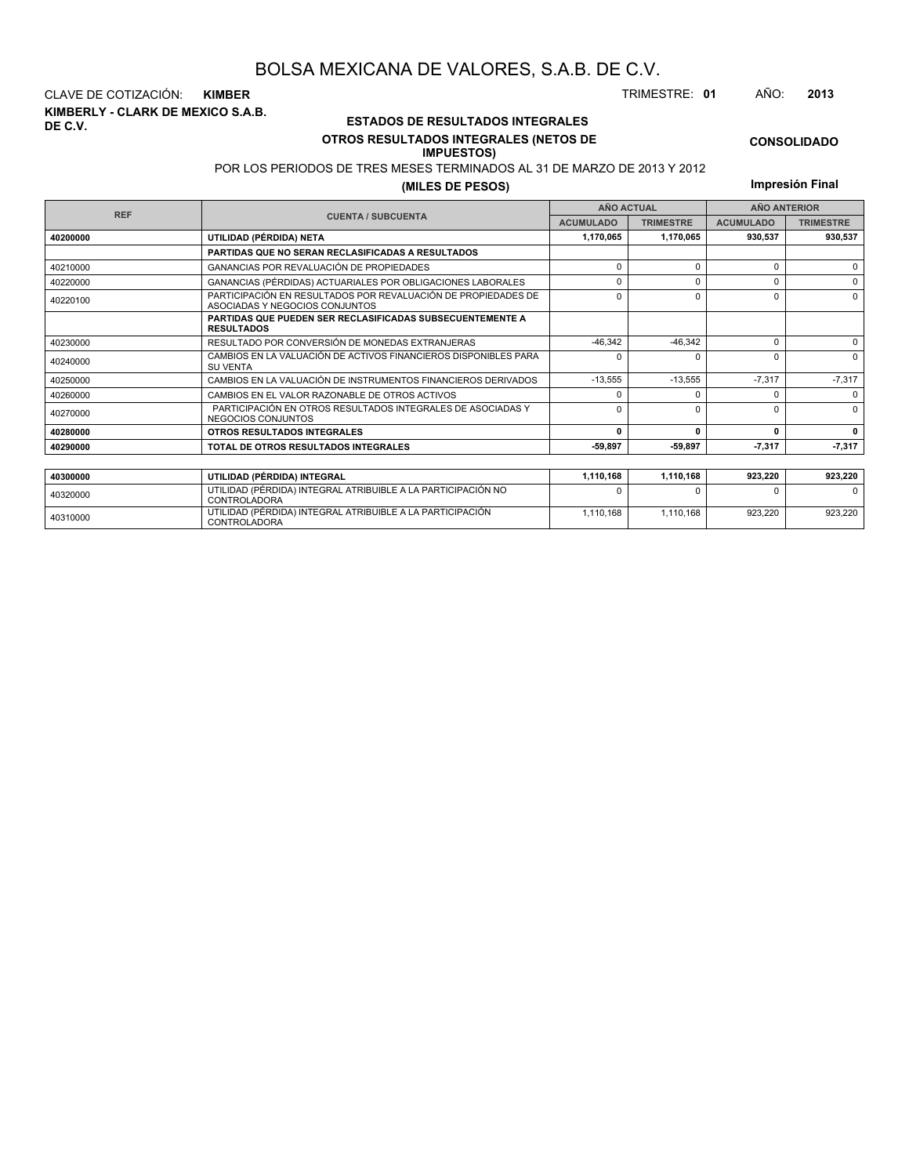**KIMBERLY - CLARK DE MEXICO S.A.B. DE C.V.** CLAVE DE COTIZACIÓN: **KIMBER** TRIMESTRE: **01** AÑO: **2013**

<sup>40310000</sup> UTILIDAD (PÉRDIDA) INTEGRAL ATRIBUIBLE A LA PARTICIPACIÓN CONTROLADORA

### **ESTADOS DE RESULTADOS INTEGRALES OTROS RESULTADOS INTEGRALES (NETOS DE**

#### **IMPUESTOS)**

POR LOS PERIODOS DE TRES MESES TERMINADOS AL 31 DE MARZO DE 2013 Y 2012

**(MILES DE PESOS)**

| Impresión Final |  |  |  |
|-----------------|--|--|--|
|-----------------|--|--|--|

1,110,168 1,110,168 923,220 923,220

|            |                                                                                                 | <b>AÑO ACTUAL</b><br><b>ACUMULADO</b><br><b>TRIMESTRE</b> |           | <b>AÑO ANTERIOR</b> |                  |
|------------|-------------------------------------------------------------------------------------------------|-----------------------------------------------------------|-----------|---------------------|------------------|
| <b>REF</b> | <b>CUENTA / SUBCUENTA</b>                                                                       |                                                           |           | <b>ACUMULADO</b>    | <b>TRIMESTRE</b> |
| 40200000   | UTILIDAD (PÉRDIDA) NETA                                                                         | 1,170,065                                                 | 1,170,065 | 930,537             | 930,537          |
|            | PARTIDAS QUE NO SERAN RECLASIFICADAS A RESULTADOS                                               |                                                           |           |                     |                  |
| 40210000   | <b>GANANCIAS POR REVALUACIÓN DE PROPIEDADES</b>                                                 | $\Omega$                                                  | 0         | $\Omega$            | $\Omega$         |
| 40220000   | GANANCIAS (PÉRDIDAS) ACTUARIALES POR OBLIGACIONES LABORALES                                     |                                                           | O         | $\Omega$            |                  |
| 40220100   | PARTICIPACIÓN EN RESULTADOS POR REVALUACIÓN DE PROPIEDADES DE<br>ASOCIADAS Y NEGOCIOS CONJUNTOS | $\Omega$                                                  | O         | $\Omega$            |                  |
|            | <b>PARTIDAS QUE PUEDEN SER RECLASIFICADAS SUBSECUENTEMENTE A</b><br><b>RESULTADOS</b>           |                                                           |           |                     |                  |
| 40230000   | RESULTADO POR CONVERSIÓN DE MONEDAS EXTRANJERAS                                                 | $-46.342$                                                 | $-46,342$ | $\Omega$            | $\Omega$         |
| 40240000   | CAMBIOS EN LA VALUACIÓN DE ACTIVOS FINANCIEROS DISPONIBLES PARA<br><b>SU VENTA</b>              |                                                           | 0         | $\Omega$            | $\Omega$         |
| 40250000   | CAMBIOS EN LA VALUACIÓN DE INSTRUMENTOS FINANCIEROS DERIVADOS                                   | $-13,555$                                                 | $-13,555$ | $-7,317$            | $-7,317$         |
| 40260000   | CAMBIOS EN EL VALOR RAZONABLE DE OTROS ACTIVOS                                                  |                                                           |           | $\Omega$            |                  |
| 40270000   | PARTICIPACIÓN EN OTROS RESULTADOS INTEGRALES DE ASOCIADAS Y<br>NEGOCIOS CONJUNTOS               |                                                           | O         |                     | $\Omega$         |
| 40280000   | OTROS RESULTADOS INTEGRALES                                                                     | n                                                         | 0         | <sup>0</sup>        | 0                |
| 40290000   | TOTAL DE OTROS RESULTADOS INTEGRALES                                                            | $-59,897$                                                 | -59,897   | 7,317               | 7,317            |
|            |                                                                                                 |                                                           |           |                     |                  |
| 40300000   | UTILIDAD (PÉRDIDA) INTEGRAL                                                                     | 1,110,168                                                 | 1,110,168 | 923,220             | 923,220          |
| 40320000   | UTILIDAD (PÉRDIDA) INTEGRAL ATRIBUIBLE A LA PARTICIPACIÓN NO<br><b>CONTROLADORA</b>             |                                                           |           | n                   |                  |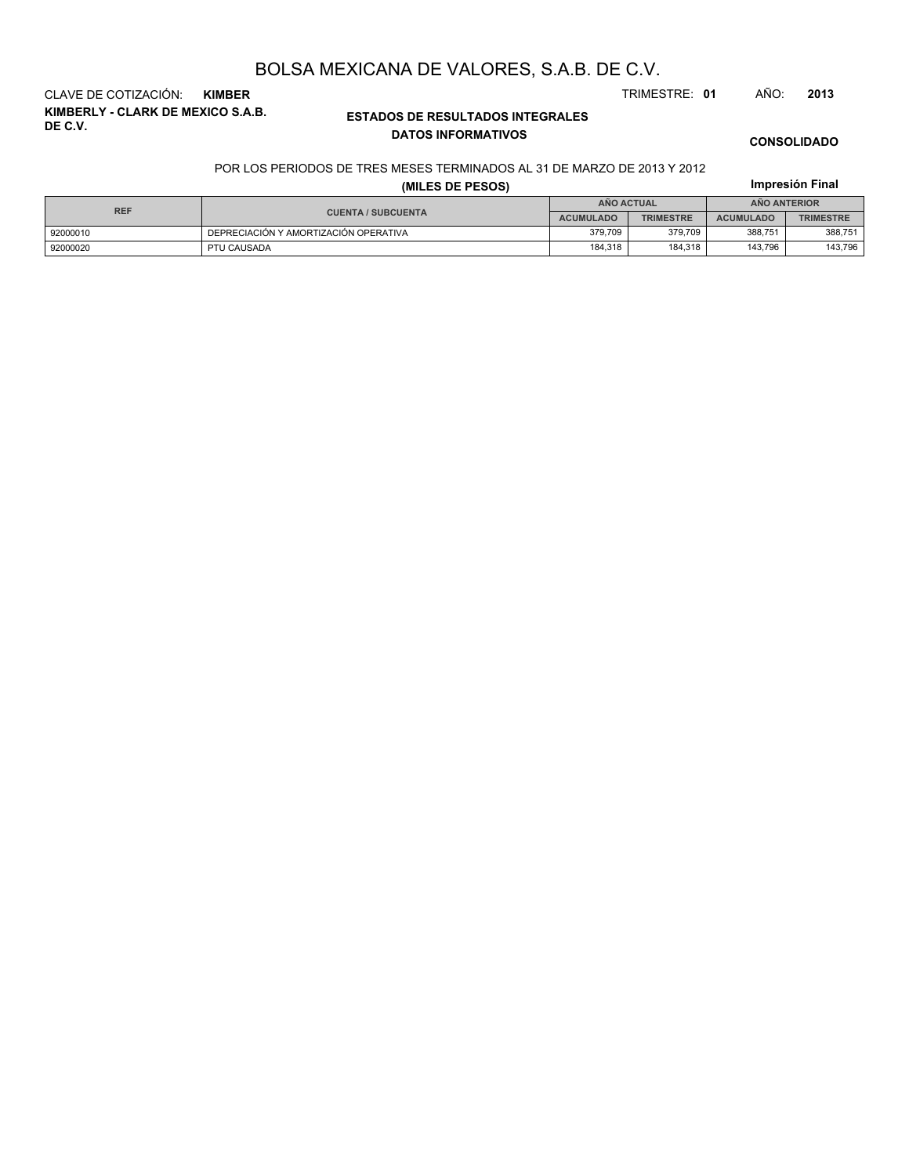**KIMBERLY - CLARK DE MEXICO S.A.B. DE C.V.** CLAVE DE COTIZACIÓN: **KIMBER** TRIMESTRE: **01** AÑO: **2013**

### **ESTADOS DE RESULTADOS INTEGRALES DATOS INFORMATIVOS**

**CONSOLIDADO**

**Impresión Final**

#### POR LOS PERIODOS DE TRES MESES TERMINADOS AL 31 DE MARZO DE 2013 Y 2012

|  |  |  | (MILES DE PESOS) |  |
|--|--|--|------------------|--|
|--|--|--|------------------|--|

| <b>REF</b> |                                       | AÑO ACTUAL       |                  | <b>ANO ANTERIOR</b> |                  |
|------------|---------------------------------------|------------------|------------------|---------------------|------------------|
|            | <b>CUENTA / SUBCUENTA</b>             | <b>ACUMULADO</b> | <b>TRIMESTRE</b> | <b>ACUMULADO</b>    | <b>TRIMESTRE</b> |
| 92000010   | DEPRECIACIÓN Y AMORTIZACIÓN OPERATIVA | 379.709          | 379.709          | 388.751             | 388.751          |
| 92000020   | PTU CAUSADA                           | 184,318          | 184.318          | 143.796             | 143.796          |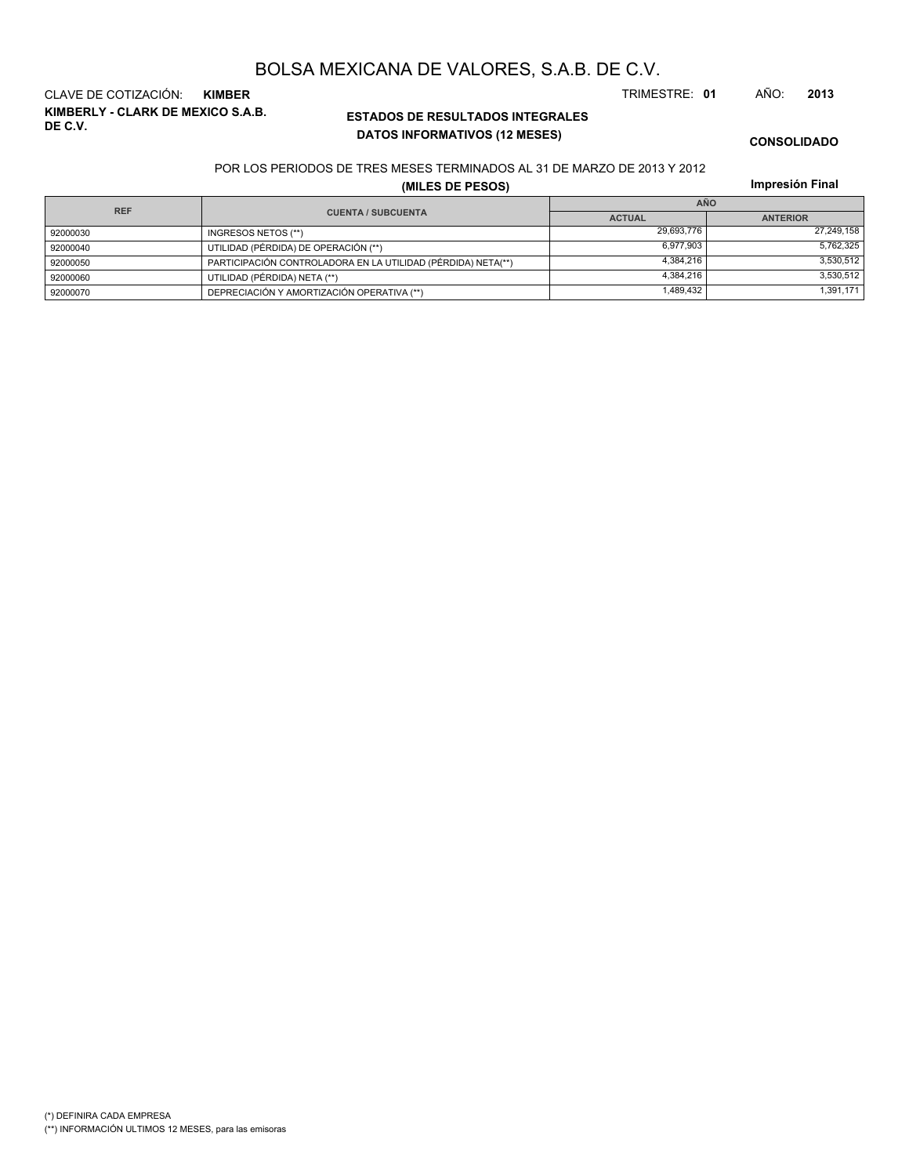**DATOS INFORMATIVOS (12 MESES)**

POR LOS PERIODOS DE TRES MESES TERMINADOS AL 31 DE MARZO DE 2013 Y 2012

**ESTADOS DE RESULTADOS INTEGRALES**

|  | (MILES DE PESOS) |  |
|--|------------------|--|
|  |                  |  |

| BOLSA MEXICANA DE VALORES, S.A.B. DE C.V. |               |  |               |  |      |      |
|-------------------------------------------|---------------|--|---------------|--|------|------|
| CLAVE DE COTIZACIÓN:                      | <b>KIMBER</b> |  | TRIMESTRE: 01 |  | AÑO: | 2013 |

(\*) DEFINIRA CADA EMPRESA (\*\*) INFORMACIÓN ULTIMOS 12 MESES, para las emisoras

**KIMBERLY - CLARK DE MEXICO S.A.B.**

**DE C.V.**

**Impresión Final**

| <b>REF</b> |                                                              | <b>AÑO</b>    |                 |
|------------|--------------------------------------------------------------|---------------|-----------------|
|            | <b>CUENTA / SUBCUENTA</b>                                    | <b>ACTUAL</b> | <b>ANTERIOR</b> |
| 92000030   | INGRESOS NETOS (**)                                          | 29,693,776    | 27,249,158      |
| 92000040   | UTILIDAD (PÉRDIDA) DE OPERACIÓN (**)                         | 6.977.903     | 5,762,325       |
| 92000050   | PARTICIPACIÓN CONTROLADORA EN LA UTILIDAD (PÉRDIDA) NETA(**) | 4.384.216     | 3,530,512       |
| 92000060   | UTILIDAD (PÉRDIDA) NETA (**)                                 | 4.384.216     | 3,530,512       |
| 92000070   | DEPRECIACIÓN Y AMORTIZACIÓN OPERATIVA (**)                   | 1.489.432     | 1,391,171       |

# BOLSA MEXICANA DE VALORES, S.A.B. DE C.V.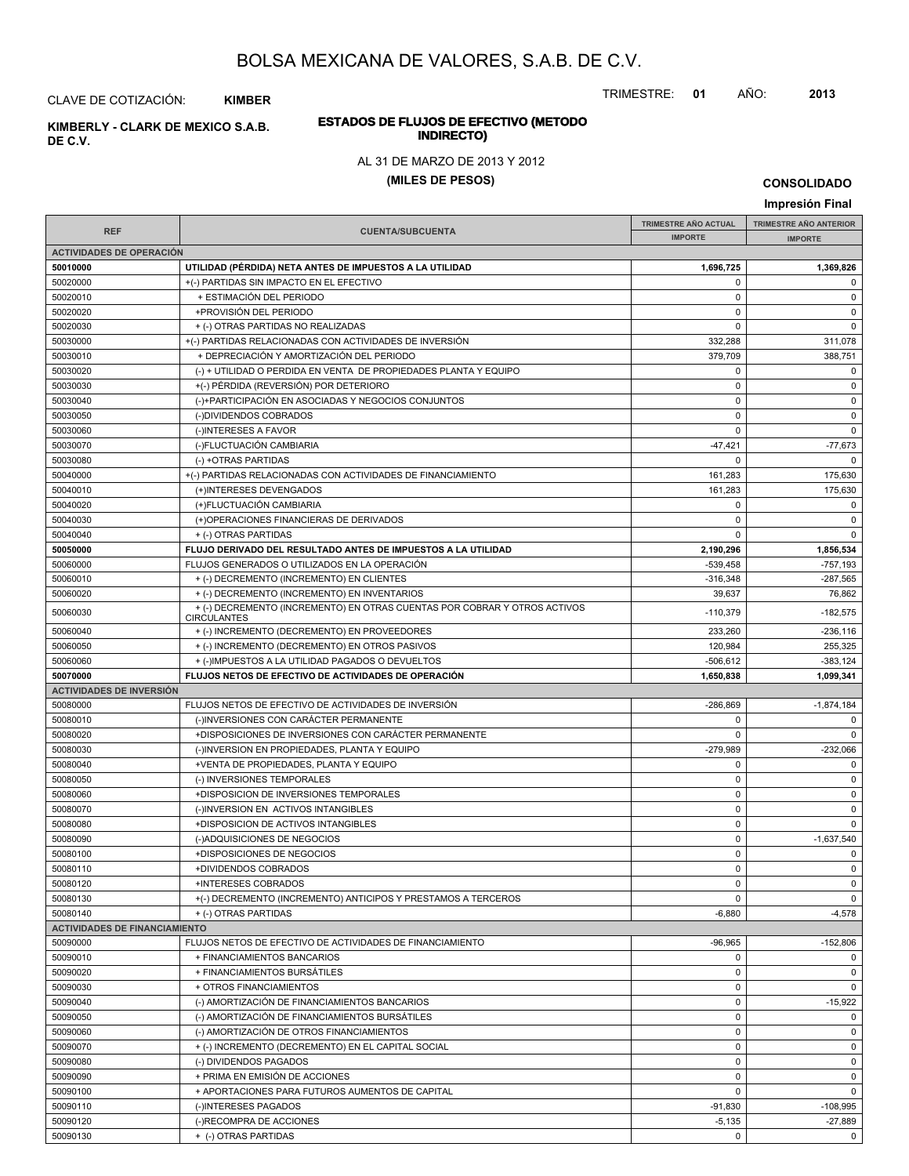TRIMESTRE: **01** AÑO: **2013**

## CLAVE DE COTIZACIÓN: **KIMBER**

**INDIRECTO) KIMBERLY - CLARK DE MEXICO S.A.B. DE C.V.**

# **ESTADOS DE FLUJOS DE EFECTIVO (METODO**

AL 31 DE MARZO DE 2013 Y 2012

## **(MILES DE PESOS)**

|                                      |                                                                                                 |                             | Impresión Final               |
|--------------------------------------|-------------------------------------------------------------------------------------------------|-----------------------------|-------------------------------|
|                                      |                                                                                                 | <b>TRIMESTRE AÑO ACTUAL</b> | <b>TRIMESTRE AÑO ANTERIOR</b> |
| <b>REF</b>                           | <b>CUENTA/SUBCUENTA</b>                                                                         | <b>IMPORTE</b>              | <b>IMPORTE</b>                |
| <b>ACTIVIDADES DE OPERACIÓN</b>      |                                                                                                 |                             |                               |
| 50010000                             | UTILIDAD (PÉRDIDA) NETA ANTES DE IMPUESTOS A LA UTILIDAD                                        | 1,696,725                   | 1,369,826                     |
| 50020000                             | +(-) PARTIDAS SIN IMPACTO EN EL EFECTIVO                                                        | 0                           | 0                             |
| 50020010                             | + ESTIMACIÓN DEL PERIODO                                                                        | 0                           | 0                             |
| 50020020                             | +PROVISIÓN DEL PERIODO                                                                          | 0                           | 0                             |
| 50020030                             | + (-) OTRAS PARTIDAS NO REALIZADAS                                                              | 0                           | $\mathbf 0$                   |
| 50030000                             | +(-) PARTIDAS RELACIONADAS CON ACTIVIDADES DE INVERSIÓN                                         | 332,288                     | 311,078                       |
| 50030010                             | + DEPRECIACIÓN Y AMORTIZACIÓN DEL PERIODO                                                       | 379,709                     | 388,751                       |
| 50030020                             | (-) + UTILIDAD O PERDIDA EN VENTA DE PROPIEDADES PLANTA Y EQUIPO                                | $\mathbf 0$                 | 0                             |
| 50030030                             | +(-) PÉRDIDA (REVERSIÓN) POR DETERIORO                                                          | 0                           | $\mathbf 0$                   |
| 50030040                             | (-)+PARTICIPACIÓN EN ASOCIADAS Y NEGOCIOS CONJUNTOS                                             | 0                           | 0                             |
| 50030050                             | (-)DIVIDENDOS COBRADOS                                                                          | $\mathbf 0$                 | 0                             |
| 50030060                             | (-)INTERESES A FAVOR                                                                            | 0                           | $\mathbf 0$                   |
| 50030070                             | (-)FLUCTUACIÓN CAMBIARIA                                                                        | $-47,421$                   | $-77,673$                     |
| 50030080                             | (-) +OTRAS PARTIDAS                                                                             | 0                           | $\Omega$                      |
| 50040000                             | +(-) PARTIDAS RELACIONADAS CON ACTIVIDADES DE FINANCIAMIENTO                                    | 161,283                     | 175,630                       |
| 50040010                             | (+)INTERESES DEVENGADOS                                                                         | 161.283                     | 175,630                       |
| 50040020                             | (+)FLUCTUACIÓN CAMBIARIA                                                                        | 0                           | 0                             |
| 50040030                             | (+)OPERACIONES FINANCIERAS DE DERIVADOS                                                         | 0                           | $\mathbf 0$                   |
| 50040040                             | + (-) OTRAS PARTIDAS                                                                            | 0                           | $\mathbf 0$                   |
| 50050000                             | FLUJO DERIVADO DEL RESULTADO ANTES DE IMPUESTOS A LA UTILIDAD                                   | 2,190,296                   | 1,856,534                     |
| 50060000                             | FLUJOS GENERADOS O UTILIZADOS EN LA OPERACIÓN                                                   | $-539,458$                  | $-757,193$                    |
| 50060010                             | + (-) DECREMENTO (INCREMENTO) EN CLIENTES                                                       | $-316,348$                  | $-287,565$                    |
| 50060020                             | + (-) DECREMENTO (INCREMENTO) EN INVENTARIOS                                                    | 39,637                      | 76,862                        |
| 50060030                             | + (-) DECREMENTO (INCREMENTO) EN OTRAS CUENTAS POR COBRAR Y OTROS ACTIVOS<br><b>CIRCULANTES</b> | $-110,379$                  | $-182,575$                    |
| 50060040                             | + (-) INCREMENTO (DECREMENTO) EN PROVEEDORES                                                    | 233,260                     | $-236,116$                    |
| 50060050                             | + (-) INCREMENTO (DECREMENTO) EN OTROS PASIVOS                                                  | 120,984                     | 255,325                       |
| 50060060                             | + (-)IMPUESTOS A LA UTILIDAD PAGADOS O DEVUELTOS                                                | $-506,612$                  | $-383, 124$                   |
| 50070000                             | FLUJOS NETOS DE EFECTIVO DE ACTIVIDADES DE OPERACIÓN                                            | 1,650,838                   | 1,099,341                     |
| <b>ACTIVIDADES DE INVERSIÓN</b>      |                                                                                                 |                             |                               |
| 50080000                             | FLUJOS NETOS DE EFECTIVO DE ACTIVIDADES DE INVERSIÓN                                            | $-286,869$                  | $-1,874,184$                  |
| 50080010                             | (-)INVERSIONES CON CARÁCTER PERMANENTE                                                          | 0                           | 0                             |
| 50080020                             | +DISPOSICIONES DE INVERSIONES CON CARÁCTER PERMANENTE                                           | 0                           | $\mathbf 0$                   |
| 50080030                             | (-)INVERSION EN PROPIEDADES, PLANTA Y EQUIPO                                                    | $-279,989$                  | $-232,066$                    |
| 50080040                             | +VENTA DE PROPIEDADES, PLANTA Y EQUIPO                                                          | 0                           | 0                             |
| 50080050                             | (-) INVERSIONES TEMPORALES                                                                      | 0                           | 0                             |
| 50080060                             | +DISPOSICION DE INVERSIONES TEMPORALES                                                          | 0                           | 0                             |
| 50080070                             | (-)INVERSION EN ACTIVOS INTANGIBLES                                                             | $\mathbf 0$                 | $\mathbf 0$                   |
| 50080080                             | +DISPOSICION DE ACTIVOS INTANGIBLES                                                             | 0                           | $\mathbf 0$                   |
| 50080090                             | (-)ADQUISICIONES DE NEGOCIOS                                                                    | 0                           | $-1,637,540$                  |
| 50080100                             | +DISPOSICIONES DE NEGOCIOS                                                                      | $\mathbf 0$                 | $\mathbf 0$                   |
| 50080110                             | +DIVIDENDOS COBRADOS                                                                            | 0                           | 0                             |
| 50080120                             | +INTERESES COBRADOS                                                                             | 0                           | 0                             |
| 50080130                             | +(-) DECREMENTO (INCREMENTO) ANTICIPOS Y PRESTAMOS A TERCEROS                                   | 0                           | $\circ$                       |
| 50080140                             | + (-) OTRAS PARTIDAS                                                                            | $-6,880$                    | $-4,578$                      |
| <b>ACTIVIDADES DE FINANCIAMIENTO</b> |                                                                                                 |                             |                               |
| 50090000                             | FLUJOS NETOS DE EFECTIVO DE ACTIVIDADES DE FINANCIAMIENTO                                       | $-96,965$                   | $-152,806$                    |
| 50090010                             | + FINANCIAMIENTOS BANCARIOS                                                                     | 0                           | 0                             |
| 50090020                             | + FINANCIAMIENTOS BURSÁTILES                                                                    | 0                           | 0                             |
| 50090030                             | + OTROS FINANCIAMIENTOS                                                                         | 0                           | $\circ$                       |
| 50090040                             | (-) AMORTIZACIÓN DE FINANCIAMIENTOS BANCARIOS                                                   | 0                           | $-15,922$                     |
| 50090050                             | (-) AMORTIZACIÓN DE FINANCIAMIENTOS BURSÁTILES                                                  | 0                           | 0                             |
| 50090060                             | (-) AMORTIZACIÓN DE OTROS FINANCIAMIENTOS                                                       | 0                           | $\mathbf 0$                   |
| 50090070                             | + (-) INCREMENTO (DECREMENTO) EN EL CAPITAL SOCIAL                                              | 0                           | 0                             |
| 50090080                             | (-) DIVIDENDOS PAGADOS                                                                          | 0                           | 0                             |
| 50090090                             | + PRIMA EN EMISIÓN DE ACCIONES                                                                  | $\mathbf 0$                 | 0                             |
| 50090100                             | + APORTACIONES PARA FUTUROS AUMENTOS DE CAPITAL                                                 | 0                           | 0                             |
| 50090110                             | (-)INTERESES PAGADOS                                                                            | $-91,830$                   | $-108,995$                    |
| 50090120                             | (-)RECOMPRA DE ACCIONES                                                                         | $-5,135$                    | $-27,889$                     |
| 50090130                             | + (-) OTRAS PARTIDAS                                                                            | 0                           | 0                             |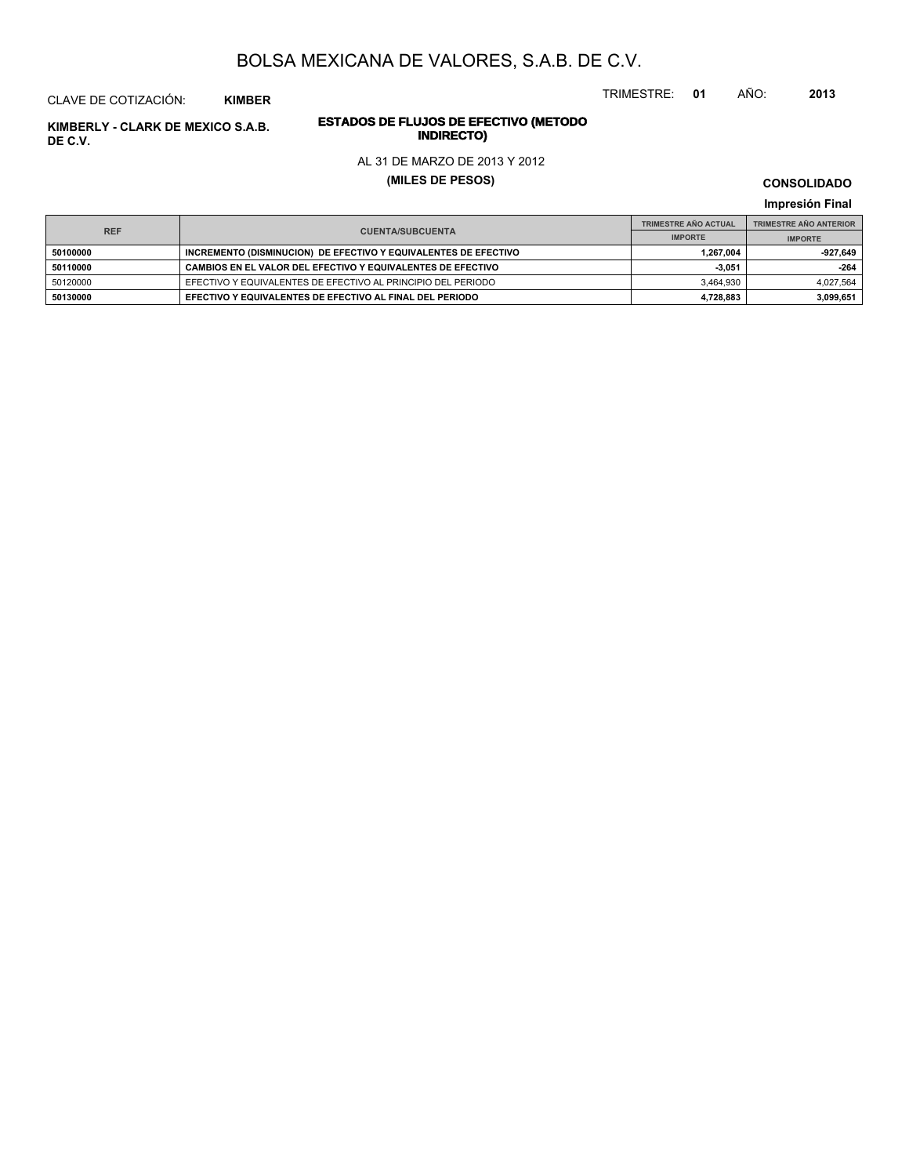TRIMESTRE: **01** AÑO: **2013**

# **ESTADOS DE FLUJOS DE EFECTIVO (METODO**

#### AL 31 DE MARZO DE 2013 Y 2012

**(MILES DE PESOS)**

**CONSOLIDADO Impresión Final**

|            |                                                                 | <b>TRIMESTRE AÑO ACTUAL</b> | <b>TRIMESTRE AÑO ANTERIOR</b> |
|------------|-----------------------------------------------------------------|-----------------------------|-------------------------------|
| <b>REF</b> | <b>CUENTA/SUBCUENTA</b>                                         | <b>IMPORTE</b>              | <b>IMPORTE</b>                |
| 50100000   | INCREMENTO (DISMINUCION) DE EFECTIVO Y EQUIVALENTES DE EFECTIVO | 1.267.004                   | -927.649                      |
| 50110000   | CAMBIOS EN EL VALOR DEL EFECTIVO Y EQUIVALENTES DE EFECTIVO     | $-3.051$                    | $-264$                        |
| 50120000   | EFECTIVO Y EQUIVALENTES DE EFECTIVO AL PRINCIPIO DEL PERIODO    | 3.464.930                   | 4.027.564                     |
| 50130000   | EFECTIVO Y EQUIVALENTES DE EFECTIVO AL FINAL DEL PERIODO        | 4,728,883                   | 3.099.651                     |

**INDIRECTO) KIMBERLY - CLARK DE MEXICO S.A.B. DE C.V.**

CLAVE DE COTIZACIÓN: **KIMBER**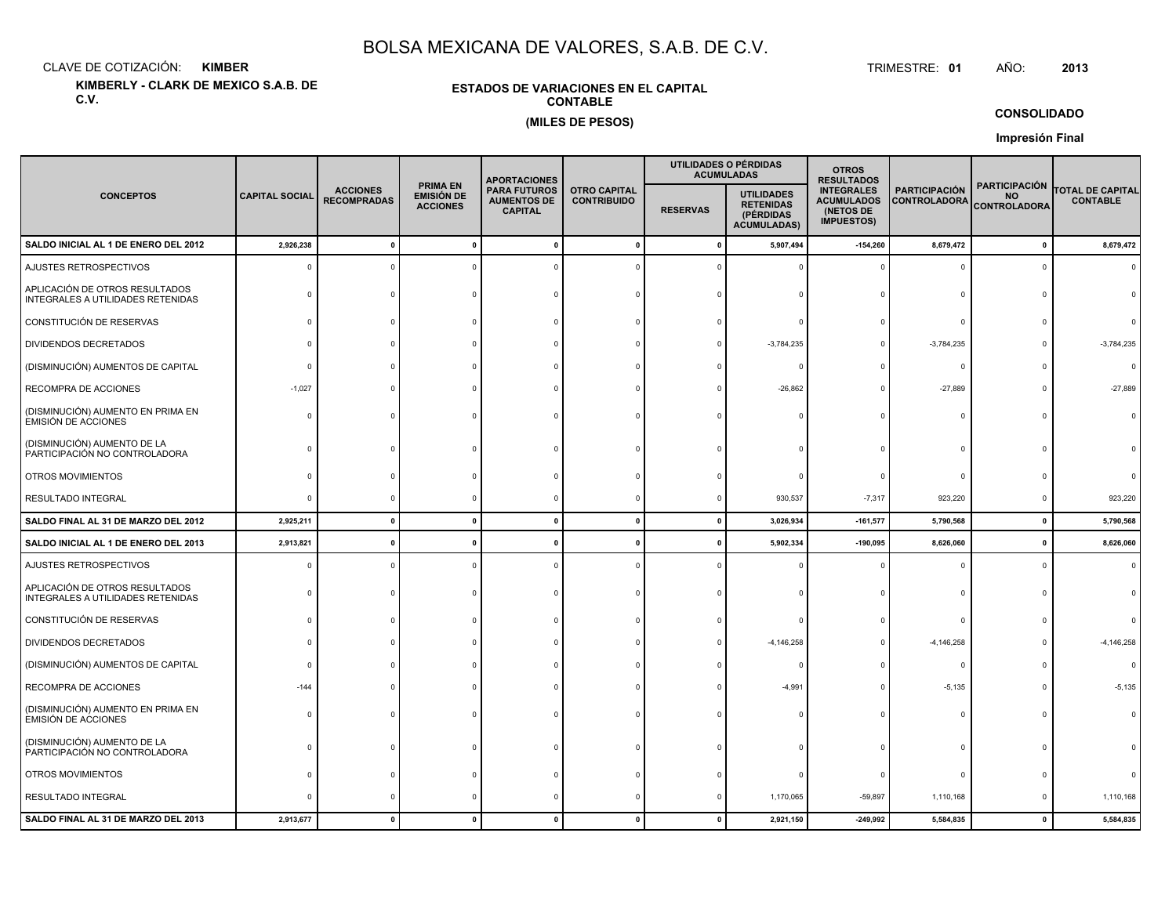CLAVE DE COTIZACIÓN:**KIMBER**: KIMBER TRIMESTRE:

**KIMBERLY - CLARK DE MEXICO S.A.B. DE C.V.**

#### **ESTADOS DE VARIACIONES EN EL CAPITALCONTABLE(MILES DE PESOS)**

TRIMESTRE: 01 AÑO: **<sup>2013</sup>**

**CONSOLIDADO**

|                                                                     |                       |                                       |                                                         | <b>APORTACIONES</b>                                         |                                           |                 | UTILIDADES O PÉRDIDAS<br><b>ACUMULADAS</b>                               | <b>OTROS</b><br><b>RESULTADOS</b>                                        |                                             |                                                          |                                            |
|---------------------------------------------------------------------|-----------------------|---------------------------------------|---------------------------------------------------------|-------------------------------------------------------------|-------------------------------------------|-----------------|--------------------------------------------------------------------------|--------------------------------------------------------------------------|---------------------------------------------|----------------------------------------------------------|--------------------------------------------|
| <b>CONCEPTOS</b>                                                    | <b>CAPITAL SOCIAL</b> | <b>ACCIONES</b><br><b>RECOMPRADAS</b> | <b>PRIMA EN</b><br><b>EMISIÓN DE</b><br><b>ACCIONES</b> | <b>PARA FUTUROS</b><br><b>AUMENTOS DE</b><br><b>CAPITAL</b> | <b>OTRO CAPITAL</b><br><b>CONTRIBUIDO</b> | <b>RESERVAS</b> | <b>UTILIDADES</b><br><b>RETENIDAS</b><br>(PÉRDIDAS<br><b>ACUMULADAS)</b> | <b>INTEGRALES</b><br><b>ACUMULADOS</b><br>(NETOS DE<br><b>IMPUESTOS)</b> | <b>PARTICIPACIÓN</b><br><b>CONTROLADORA</b> | <b>PARTICIPACIÓN</b><br><b>NO</b><br><b>CONTROLADORA</b> | <b>TOTAL DE CAPITAL</b><br><b>CONTABLE</b> |
| SALDO INICIAL AL 1 DE ENERO DEL 2012                                | 2,926,238             |                                       |                                                         |                                                             | $\mathbf{0}$                              | - 0             | 5,907,494                                                                | $-154,260$                                                               | 8,679,472                                   | $\pmb{0}$                                                | 8,679,472                                  |
| AJUSTES RETROSPECTIVOS                                              | $\Omega$              |                                       |                                                         |                                                             |                                           |                 |                                                                          |                                                                          | $\Omega$                                    | $\Omega$                                                 | $\Omega$                                   |
| APLICACIÓN DE OTROS RESULTADOS<br>INTEGRALES A UTILIDADES RETENIDAS |                       |                                       |                                                         |                                                             |                                           |                 |                                                                          |                                                                          | $\Omega$                                    |                                                          |                                            |
| CONSTITUCIÓN DE RESERVAS                                            |                       |                                       |                                                         |                                                             |                                           |                 |                                                                          |                                                                          | $\Omega$                                    |                                                          |                                            |
| DIVIDENDOS DECRETADOS                                               |                       |                                       |                                                         |                                                             |                                           |                 | $-3,784,235$                                                             |                                                                          | $-3,784,235$                                |                                                          | $-3,784,235$                               |
| (DISMINUCIÓN) AUMENTOS DE CAPITAL                                   |                       |                                       |                                                         |                                                             |                                           |                 |                                                                          |                                                                          | $^{\circ}$                                  |                                                          | $\Omega$                                   |
| RECOMPRA DE ACCIONES                                                | $-1,027$              |                                       |                                                         |                                                             |                                           |                 | $-26,862$                                                                |                                                                          | $-27,889$                                   | <sup>n</sup>                                             | $-27,889$                                  |
| (DISMINUCIÓN) AUMENTO EN PRIMA EN<br><b>EMISIÓN DE ACCIONES</b>     |                       |                                       |                                                         |                                                             |                                           |                 |                                                                          |                                                                          | $\Omega$                                    | n                                                        |                                            |
| (DISMINUCIÓN) AUMENTO DE LA<br>PARTICIPACIÓN NO CONTROLADORA        |                       |                                       |                                                         |                                                             |                                           |                 |                                                                          |                                                                          |                                             |                                                          |                                            |
| OTROS MOVIMIENTOS                                                   |                       |                                       |                                                         |                                                             |                                           |                 |                                                                          |                                                                          | $\Omega$                                    |                                                          |                                            |
| RESULTADO INTEGRAL                                                  | ſ                     |                                       |                                                         |                                                             |                                           |                 | 930,537                                                                  | $-7,317$                                                                 | 923,220                                     | 0                                                        | 923,220                                    |
| SALDO FINAL AL 31 DE MARZO DEL 2012                                 | 2,925,211             |                                       |                                                         |                                                             | $\mathbf 0$                               | $\mathbf{0}$    | 3,026,934                                                                | $-161,577$                                                               | 5,790,568                                   | $\mathbf{0}$                                             | 5,790,568                                  |
| SALDO INICIAL AL 1 DE ENERO DEL 2013                                | 2,913,821             |                                       |                                                         |                                                             | O                                         |                 | 5,902,334                                                                | $-190,095$                                                               | 8,626,060                                   | $\mathbf 0$                                              | 8,626,060                                  |
| AJUSTES RETROSPECTIVOS                                              |                       |                                       |                                                         |                                                             |                                           |                 |                                                                          |                                                                          | $\Omega$                                    | $\Omega$                                                 | $\Omega$                                   |
| APLICACIÓN DE OTROS RESULTADOS<br>INTEGRALES A UTILIDADES RETENIDAS |                       |                                       |                                                         |                                                             |                                           |                 |                                                                          |                                                                          | $\Omega$                                    |                                                          |                                            |
| CONSTITUCIÓN DE RESERVAS                                            |                       |                                       |                                                         |                                                             |                                           |                 |                                                                          |                                                                          | $\Omega$                                    |                                                          |                                            |
| DIVIDENDOS DECRETADOS                                               |                       |                                       |                                                         |                                                             |                                           |                 | $-4,146,258$                                                             |                                                                          | $-4,146,258$                                |                                                          | $-4, 146, 258$                             |
| (DISMINUCIÓN) AUMENTOS DE CAPITAL                                   | ſ                     |                                       |                                                         |                                                             |                                           |                 |                                                                          |                                                                          | $\mathbf{0}$                                |                                                          | $\Omega$                                   |
| RECOMPRA DE ACCIONES                                                | $-144$                |                                       |                                                         |                                                             |                                           |                 | $-4,991$                                                                 |                                                                          | $-5,135$                                    |                                                          | $-5,135$                                   |
| (DISMINUCIÓN) AUMENTO EN PRIMA EN<br><b>EMISIÓN DE ACCIONES</b>     |                       |                                       |                                                         |                                                             |                                           |                 |                                                                          |                                                                          | $\Omega$                                    |                                                          |                                            |
| (DISMINUCIÓN) AUMENTO DE LA<br>PARTICIPACIÓN NO CONTROLADORA        |                       |                                       |                                                         |                                                             |                                           |                 |                                                                          |                                                                          | $\Omega$                                    |                                                          |                                            |
| OTROS MOVIMIENTOS                                                   |                       |                                       |                                                         |                                                             |                                           |                 |                                                                          |                                                                          | 0                                           |                                                          |                                            |
| <b>RESULTADO INTEGRAL</b>                                           |                       |                                       |                                                         |                                                             |                                           |                 | 1,170,065                                                                | $-59,897$                                                                | 1,110,168                                   | 0                                                        | 1,110,168                                  |
| SALDO FINAL AL 31 DE MARZO DEL 2013                                 | 2,913,677             |                                       |                                                         |                                                             | $\Omega$                                  |                 | 2,921,150                                                                | $-249,992$                                                               | 5,584,835                                   | $\mathbf{0}$                                             | 5,584,835                                  |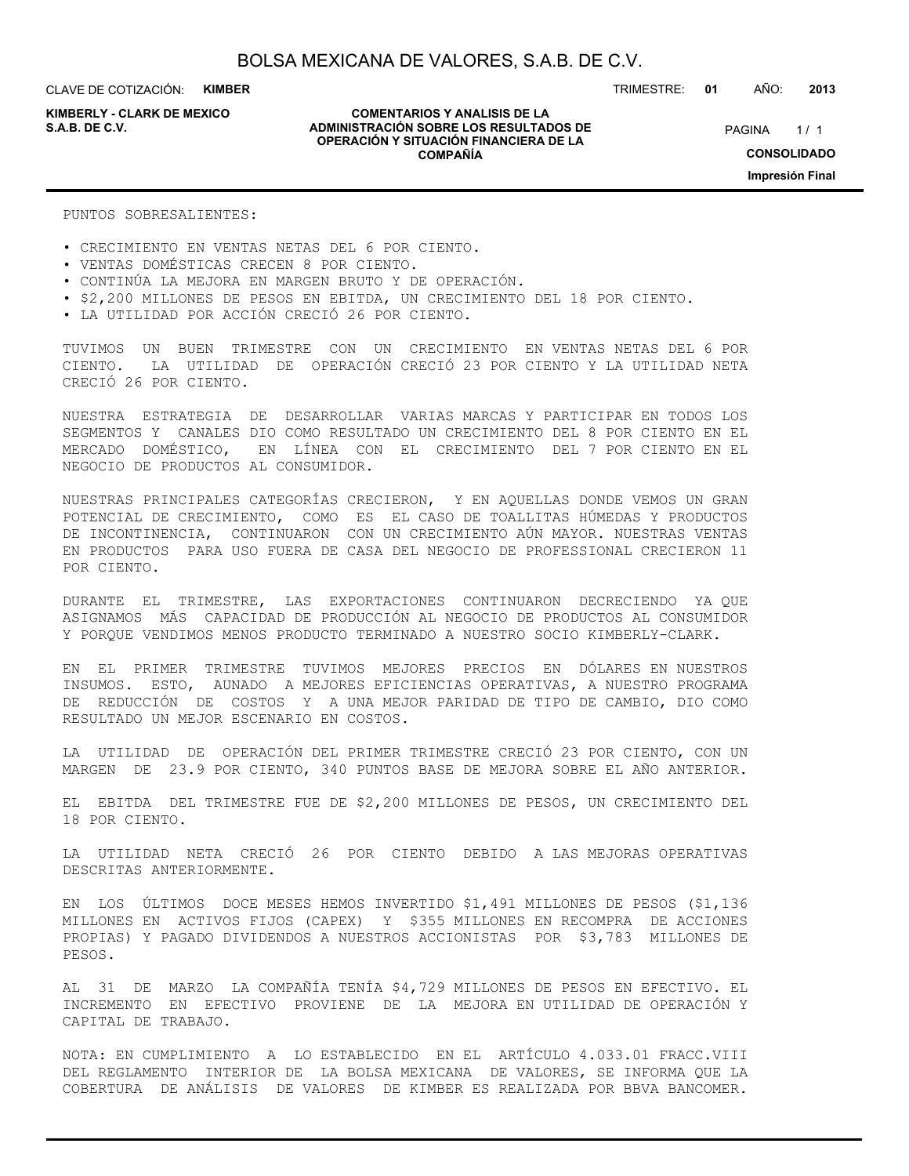CLAVE DE COTIZACIÓN: **KIMBER**

**KIMBERLY - CLARK DE MEXICO**

#### **COMENTARIOS Y ANALISIS DE LA ADMINISTRACIÓN SOBRE LOS RESULTADOS DE S.A.B. DE C.V.** PAGINA / 1 **OPERACIÓN Y SITUACIÓN FINANCIERA DE LA COMPAÑÍA**

TRIMESTRE: **01** AÑO: **2013**

 $1/1$ **CONSOLIDADO Impresión Final**

PUNTOS SOBRESALIENTES:

- CRECIMIENTO EN VENTAS NETAS DEL 6 POR CIENTO.
- VENTAS DOMÉSTICAS CRECEN 8 POR CIENTO.
- CONTINÚA LA MEJORA EN MARGEN BRUTO Y DE OPERACIÓN.
- \$2,200 MILLONES DE PESOS EN EBITDA, UN CRECIMIENTO DEL 18 POR CIENTO.
- LA UTILIDAD POR ACCIÓN CRECIÓ 26 POR CIENTO.

TUVIMOS UN BUEN TRIMESTRE CON UN CRECIMIENTO EN VENTAS NETAS DEL 6 POR CIENTO. LA UTILIDAD DE OPERACIÓN CRECIÓ 23 POR CIENTO Y LA UTILIDAD NETA CRECIÓ 26 POR CIENTO.

NUESTRA ESTRATEGIA DE DESARROLLAR VARIAS MARCAS Y PARTICIPAR EN TODOS LOS SEGMENTOS Y CANALES DIO COMO RESULTADO UN CRECIMIENTO DEL 8 POR CIENTO EN EL MERCADO DOMÉSTICO, EN LÍNEA CON EL CRECIMIENTO DEL 7 POR CIENTO EN EL NEGOCIO DE PRODUCTOS AL CONSUMIDOR.

NUESTRAS PRINCIPALES CATEGORÍAS CRECIERON, Y EN AQUELLAS DONDE VEMOS UN GRAN POTENCIAL DE CRECIMIENTO, COMO ES EL CASO DE TOALLITAS HÚMEDAS Y PRODUCTOS DE INCONTINENCIA, CONTINUARON CON UN CRECIMIENTO AÚN MAYOR. NUESTRAS VENTAS EN PRODUCTOS PARA USO FUERA DE CASA DEL NEGOCIO DE PROFESSIONAL CRECIERON 11 POR CIENTO.

DURANTE EL TRIMESTRE, LAS EXPORTACIONES CONTINUARON DECRECIENDO YA QUE ASIGNAMOS MÁS CAPACIDAD DE PRODUCCIÓN AL NEGOCIO DE PRODUCTOS AL CONSUMIDOR Y PORQUE VENDIMOS MENOS PRODUCTO TERMINADO A NUESTRO SOCIO KIMBERLY-CLARK.

EN EL PRIMER TRIMESTRE TUVIMOS MEJORES PRECIOS EN DÓLARES EN NUESTROS INSUMOS. ESTO, AUNADO A MEJORES EFICIENCIAS OPERATIVAS, A NUESTRO PROGRAMA DE REDUCCIÓN DE COSTOS Y A UNA MEJOR PARIDAD DE TIPO DE CAMBIO, DIO COMO RESULTADO UN MEJOR ESCENARIO EN COSTOS.

LA UTILIDAD DE OPERACIÓN DEL PRIMER TRIMESTRE CRECIÓ 23 POR CIENTO, CON UN MARGEN DE 23.9 POR CIENTO, 340 PUNTOS BASE DE MEJORA SOBRE EL AÑO ANTERIOR.

EL EBITDA DEL TRIMESTRE FUE DE \$2,200 MILLONES DE PESOS, UN CRECIMIENTO DEL 18 POR CIENTO.

LA UTILIDAD NETA CRECIÓ 26 POR CIENTO DEBIDO A LAS MEJORAS OPERATIVAS DESCRITAS ANTERIORMENTE.

EN LOS ÚLTIMOS DOCE MESES HEMOS INVERTIDO \$1,491 MILLONES DE PESOS (\$1,136 MILLONES EN ACTIVOS FIJOS (CAPEX) Y \$355 MILLONES EN RECOMPRA DE ACCIONES PROPIAS) Y PAGADO DIVIDENDOS A NUESTROS ACCIONISTAS POR \$3,783 MILLONES DE PESOS.

AL 31 DE MARZO LA COMPAÑÍA TENÍA \$4,729 MILLONES DE PESOS EN EFECTIVO. EL INCREMENTO EN EFECTIVO PROVIENE DE LA MEJORA EN UTILIDAD DE OPERACIÓN Y CAPITAL DE TRABAJO.

NOTA: EN CUMPLIMIENTO A LO ESTABLECIDO EN EL ARTÍCULO 4.033.01 FRACC.VIII DEL REGLAMENTO INTERIOR DE LA BOLSA MEXICANA DE VALORES, SE INFORMA QUE LA COBERTURA DE ANÁLISIS DE VALORES DE KIMBER ES REALIZADA POR BBVA BANCOMER.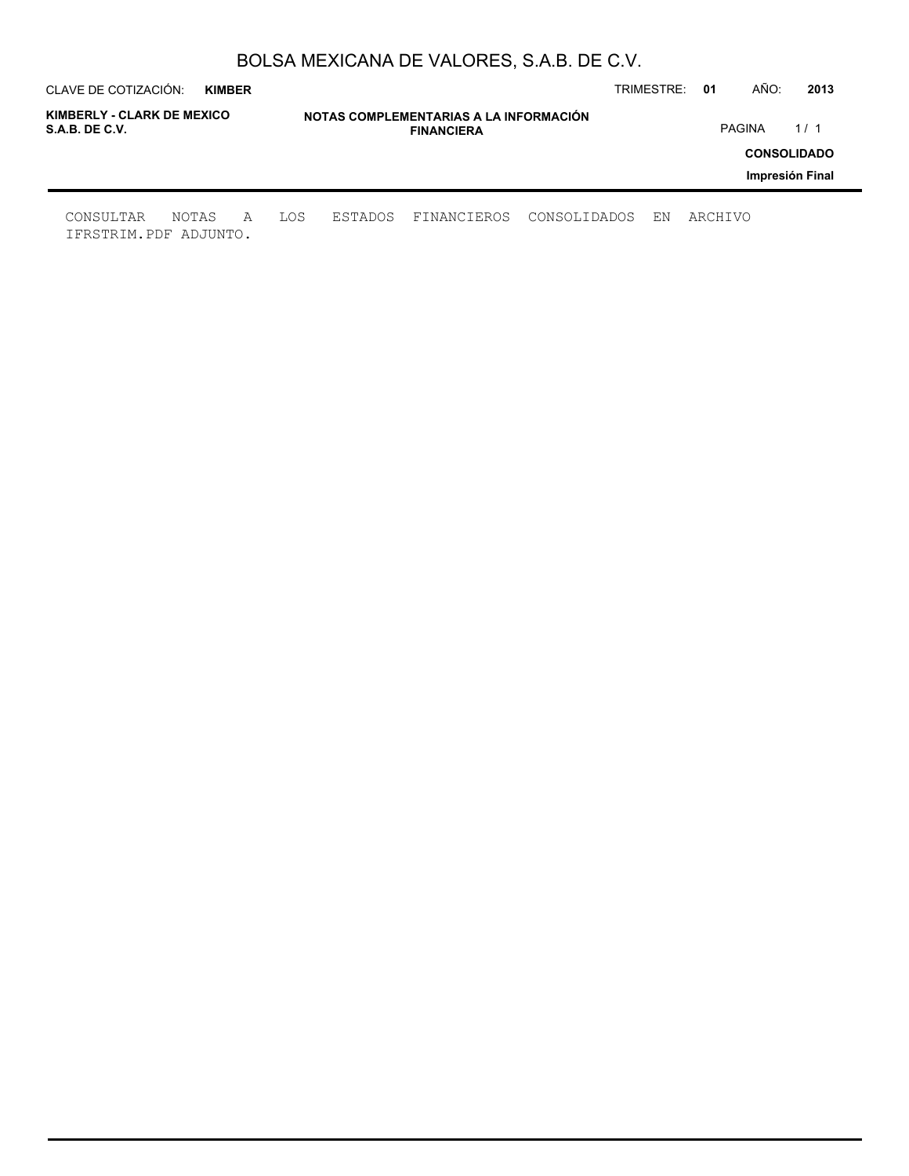| CLAVE DE COTIZACIÓN:<br><b>KIMBER</b>        |   |     |                                                             |             |              | TRIMESTRE: | -01     | AÑO:   | 2013                                  |
|----------------------------------------------|---|-----|-------------------------------------------------------------|-------------|--------------|------------|---------|--------|---------------------------------------|
| KIMBERLY - CLARK DE MEXICO<br>S.A.B. DE C.V. |   |     | NOTAS COMPLEMENTARIAS A LA INFORMACIÓN<br><b>FINANCIERA</b> |             |              |            |         | PAGINA | 1/1                                   |
|                                              |   |     |                                                             |             |              |            |         |        | <b>CONSOLIDADO</b><br>Impresión Final |
| CONSULTAR<br>NOTAS<br>IFRSTRIM.PDF ADJUNTO.  | A | LOS | ESTADOS                                                     | FINANCIEROS | CONSOLIDADOS | ΕN         | ARCHIVO |        |                                       |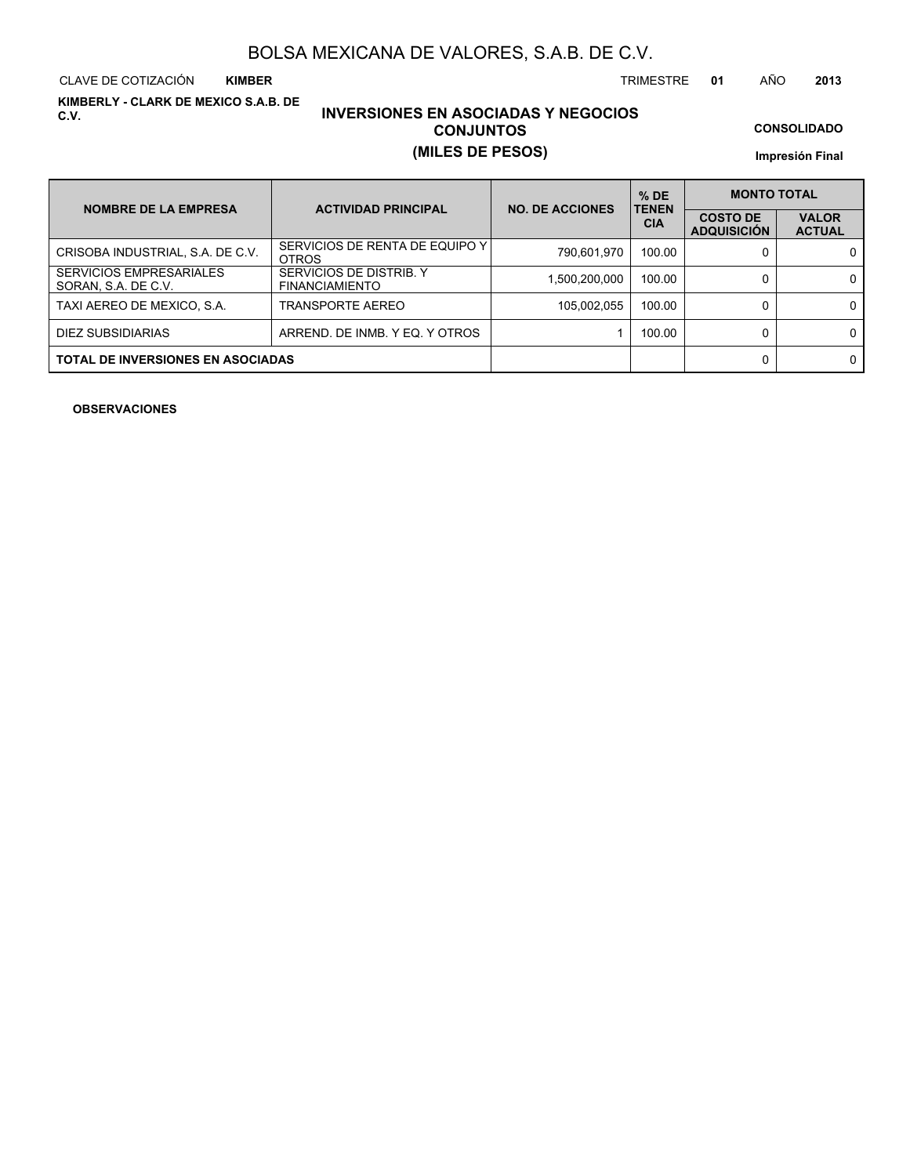CLAVE DE COTIZACIÓN TRIMESTRE **01** AÑO **2013 KIMBER**

**KIMBERLY - CLARK DE MEXICO S.A.B. DE C.V.**

## **INVERSIONES EN ASOCIADAS Y NEGOCIOS CONJUNTOS (MILES DE PESOS)**

**CONSOLIDADO**

**Impresión Final**

| <b>NOMBRE DE LA EMPRESA</b>                           | <b>ACTIVIDAD PRINCIPAL</b>                       | <b>NO. DE ACCIONES</b> | $%$ DE<br><b>TENEN</b> | <b>MONTO TOTAL</b>                    |                               |  |  |
|-------------------------------------------------------|--------------------------------------------------|------------------------|------------------------|---------------------------------------|-------------------------------|--|--|
|                                                       |                                                  |                        | <b>CIA</b>             | <b>COSTO DE</b><br><b>ADQUISICIÓN</b> | <b>VALOR</b><br><b>ACTUAL</b> |  |  |
| CRISOBA INDUSTRIAL, S.A. DE C.V.                      | SERVICIOS DE RENTA DE EQUIPO Y I<br><b>OTROS</b> | 790,601,970            | 100.00                 |                                       | 0                             |  |  |
| <b>SERVICIOS EMPRESARIALES</b><br>SORAN, S.A. DE C.V. | SERVICIOS DE DISTRIB. Y<br><b>FINANCIAMIENTO</b> | 1,500,200,000          | 100.00                 |                                       | $\Omega$                      |  |  |
| TAXI AEREO DE MEXICO, S.A.                            | TRANSPORTE AEREO                                 | 105,002,055            | 100.00                 |                                       | $\Omega$                      |  |  |
| DIEZ SUBSIDIARIAS                                     | ARREND. DE INMB. Y EQ. Y OTROS                   |                        | 100.00                 |                                       | 0                             |  |  |
| <b>TOTAL DE INVERSIONES EN ASOCIADAS</b>              |                                                  |                        |                        |                                       | 0                             |  |  |

**OBSERVACIONES**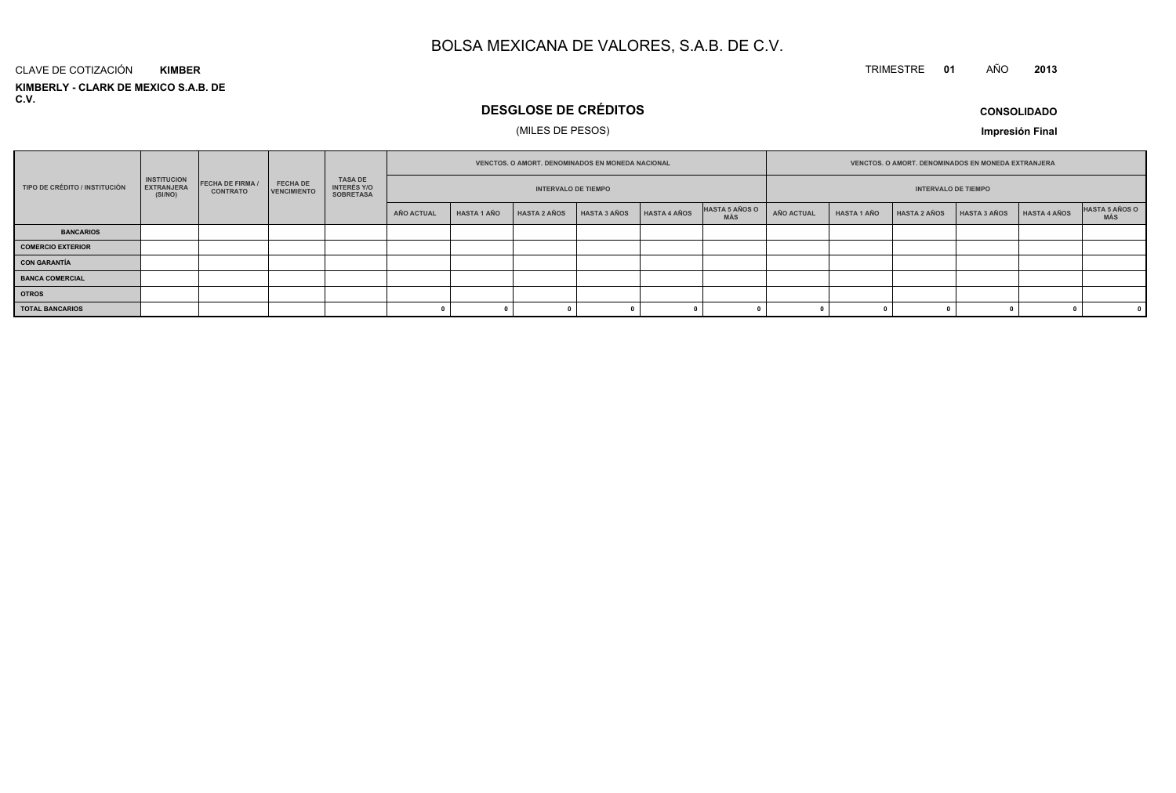#### TRIMESTRE **<sup>01</sup>** AÑO**<sup>2013</sup>**

**KIMBERLY - CLARK DE MEXICO S.A.B. DE C.V.**CLAVE DE COTIZACIÓN**KIMBER**

## **DESGLOSE DE CRÉDITOS**

## (MILES DE PESOS)

**CONSOLIDADO**

|                               |                                                    |                                            |                                | <b>VENCTOS, O AMORT, DENOMINADOS EN MONEDA NACIONAL</b>  |            |                            |                     |              | <b>VENCTOS, O AMORT, DENOMINADOS EN MONEDA EXTRANJERA</b> |                              |                   |                    |                     |                     |              |                              |
|-------------------------------|----------------------------------------------------|--------------------------------------------|--------------------------------|----------------------------------------------------------|------------|----------------------------|---------------------|--------------|-----------------------------------------------------------|------------------------------|-------------------|--------------------|---------------------|---------------------|--------------|------------------------------|
| TIPO DE CRÉDITO / INSTITUCIÓN | <b>INSTITUCION</b><br><b>EXTRANJERA</b><br>(SI/NO) | <b>FECHA DE FIRMA /</b><br><b>CONTRATO</b> | <b>FECHA DE</b><br>VENCIMIENTO | <b>TASA DE</b><br><b>INTERÉS Y/O</b><br><b>SOBRETASA</b> |            | <b>INTERVALO DE TIEMPO</b> |                     |              | <b>INTERVALO DE TIEMPO</b>                                |                              |                   |                    |                     |                     |              |                              |
|                               |                                                    |                                            |                                |                                                          | AÑO ACTUAL | <b>HASTA 1 AÑO</b>         | <b>HASTA 2 AÑOS</b> | HASTA 3 AÑOS | <b>HASTA 4 AÑOS</b>                                       | HASTA 5 AÑOS O<br><b>MÁS</b> | <b>AÑO ACTUAL</b> | <b>HASTA 1 AÑO</b> | <b>HASTA 2 AÑOS</b> | <b>HASTA 3 AÑOS</b> | HASTA 4 AÑOS | <b>HASTA 5 AÑOS O</b><br>MÁS |
| <b>BANCARIOS</b>              |                                                    |                                            |                                |                                                          |            |                            |                     |              |                                                           |                              |                   |                    |                     |                     |              |                              |
| <b>COMERCIO EXTERIOR</b>      |                                                    |                                            |                                |                                                          |            |                            |                     |              |                                                           |                              |                   |                    |                     |                     |              |                              |
| <b>CON GARANTÍA</b>           |                                                    |                                            |                                |                                                          |            |                            |                     |              |                                                           |                              |                   |                    |                     |                     |              |                              |
| <b>BANCA COMERCIAL</b>        |                                                    |                                            |                                |                                                          |            |                            |                     |              |                                                           |                              |                   |                    |                     |                     |              |                              |
| <b>OTROS</b>                  |                                                    |                                            |                                |                                                          |            |                            |                     |              |                                                           |                              |                   |                    |                     |                     |              |                              |
| <b>TOTAL BANCARIOS</b>        |                                                    |                                            |                                |                                                          |            |                            |                     |              |                                                           |                              |                   |                    |                     |                     |              |                              |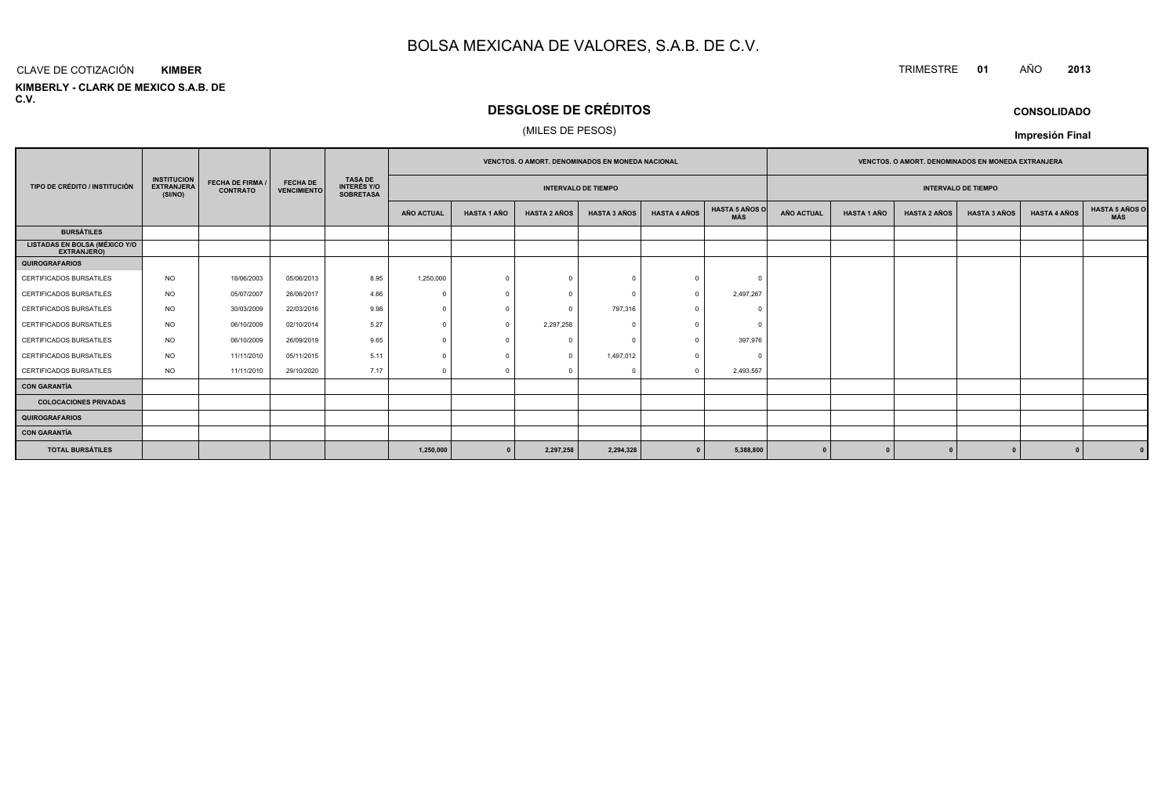#### CLAVE DE COTIZACIÓN TRIMESTRE **<sup>01</sup>** AÑO **<sup>2013</sup> KIMBER**

**KIMBERLY - CLARK DE MEXICO S.A.B. DE C.V.**

## **DESGLOSE DE CRÉDITOS**

## (MILES DE PESOS)

|                                                     |                                                    |                                            |                                       |                                                          |                   |                    | <b>VENCTOS, O AMORT, DENOMINADOS EN MONEDA NACIONAL</b> |                            |                     |                              |                   |                    | <b>VENCTOS, O AMORT, DENOMINADOS EN MONEDA EXTRANJERA</b> |                            |                     |                       |
|-----------------------------------------------------|----------------------------------------------------|--------------------------------------------|---------------------------------------|----------------------------------------------------------|-------------------|--------------------|---------------------------------------------------------|----------------------------|---------------------|------------------------------|-------------------|--------------------|-----------------------------------------------------------|----------------------------|---------------------|-----------------------|
| TIPO DE CRÉDITO / INSTITUCIÓN                       | <b>INSTITUCION</b><br><b>EXTRANJERA</b><br>(SI/NO) | <b>FECHA DE FIRMA /</b><br><b>CONTRATO</b> | <b>FECHA DE</b><br><b>VENCIMIENTO</b> | <b>TASA DE</b><br><b>INTERÉS Y/O</b><br><b>SOBRETASA</b> |                   |                    |                                                         | <b>INTERVALO DE TIEMPO</b> |                     |                              |                   |                    |                                                           | <b>INTERVALO DE TIEMPO</b> |                     |                       |
|                                                     |                                                    |                                            |                                       |                                                          | <b>AÑO ACTUAL</b> | <b>HASTA 1 AÑO</b> | <b>HASTA 2 AÑOS</b>                                     | <b>HASTA 3 AÑOS</b>        | <b>HASTA 4 AÑOS</b> | <b>HASTA 5 AÑOS O</b><br>MÁS | <b>AÑO ACTUAL</b> | <b>HASTA 1 AÑO</b> | <b>HASTA 2 AÑOS</b>                                       | <b>HASTA 3 AÑOS</b>        | <b>HASTA 4 AÑOS</b> | HASTA 5 AÑOS C<br>MÁS |
| <b>BURSÁTILES</b>                                   |                                                    |                                            |                                       |                                                          |                   |                    |                                                         |                            |                     |                              |                   |                    |                                                           |                            |                     |                       |
| <b>LISTADAS EN BOLSA (MÉXICO Y/O</b><br>EXTRANJERO) |                                                    |                                            |                                       |                                                          |                   |                    |                                                         |                            |                     |                              |                   |                    |                                                           |                            |                     |                       |
| <b>QUIROGRAFARIOS</b>                               |                                                    |                                            |                                       |                                                          |                   |                    |                                                         |                            |                     |                              |                   |                    |                                                           |                            |                     |                       |
| CERTIFICADOS BURSATILES                             | <b>NO</b>                                          | 18/06/2003                                 | 05/06/2013                            | 8.95                                                     | 1,250,000         | $\Omega$           | $\Omega$                                                |                            | $\Omega$            |                              |                   |                    |                                                           |                            |                     |                       |
| CERTIFICADOS BURSATILES                             | <b>NO</b>                                          | 05/07/2007                                 | 26/06/2017                            | 4.66                                                     |                   |                    |                                                         |                            | $\Omega$            | 2,497,267                    |                   |                    |                                                           |                            |                     |                       |
| <b>CERTIFICADOS BURSATILES</b>                      | NO.                                                | 30/03/2009                                 | 22/03/2016                            | 9.98                                                     | $\Omega$          | $\Omega$           | $\Omega$                                                | 797,316                    | $\Omega$            |                              |                   |                    |                                                           |                            |                     |                       |
| CERTIFICADOS BURSATILES                             | <b>NO</b>                                          | 06/10/2009                                 | 02/10/2014                            | 5.27                                                     |                   |                    | 2,297,258                                               |                            |                     |                              |                   |                    |                                                           |                            |                     |                       |
| <b>CERTIFICADOS BURSATILES</b>                      | <b>NO</b>                                          | 06/10/2009                                 | 26/09/2019                            | 9.65                                                     | $\Omega$          |                    | $\Omega$                                                |                            | $\Omega$            | 397,976                      |                   |                    |                                                           |                            |                     |                       |
| CERTIFICADOS BURSATILES                             | <b>NO</b>                                          | 11/11/2010                                 | 05/11/2015                            | 5.11                                                     |                   |                    | $\Omega$                                                | 1,497,012                  |                     |                              |                   |                    |                                                           |                            |                     |                       |
| CERTIFICADOS BURSATILES                             | <b>NO</b>                                          | 11/11/2010                                 | 29/10/2020                            | 7.17                                                     | $\Omega$          | $\Omega$           | $\Omega$                                                |                            | $\Omega$            | 2,493,557                    |                   |                    |                                                           |                            |                     |                       |
| <b>CON GARANTÍA</b>                                 |                                                    |                                            |                                       |                                                          |                   |                    |                                                         |                            |                     |                              |                   |                    |                                                           |                            |                     |                       |
| <b>COLOCACIONES PRIVADAS</b>                        |                                                    |                                            |                                       |                                                          |                   |                    |                                                         |                            |                     |                              |                   |                    |                                                           |                            |                     |                       |
| <b>QUIROGRAFARIOS</b>                               |                                                    |                                            |                                       |                                                          |                   |                    |                                                         |                            |                     |                              |                   |                    |                                                           |                            |                     |                       |
| <b>CON GARANTÍA</b>                                 |                                                    |                                            |                                       |                                                          |                   |                    |                                                         |                            |                     |                              |                   |                    |                                                           |                            |                     |                       |
| <b>TOTAL BURSÁTILES</b>                             |                                                    |                                            |                                       |                                                          | 1,250,000         | $\Omega$           | 2,297,258                                               | 2,294,328                  |                     | 5,388,800                    |                   |                    |                                                           |                            |                     |                       |

## **CONSOLIDADO**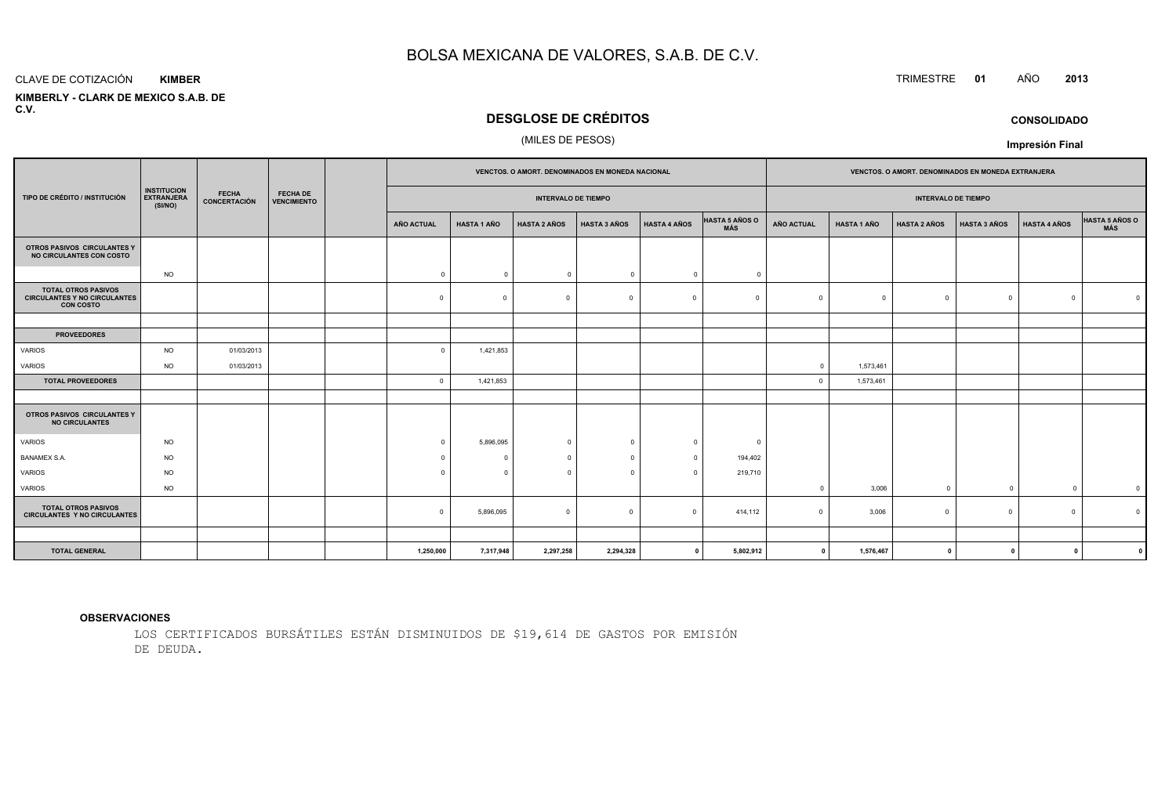#### CLAVE DE COTIZACIÓN**KIMBER**

 **KIMBERLY - CLARK DE MEXICO S.A.B. DEC.V.**

## **DESGLOSE DE CRÉDITOS**

## (MILES DE PESOS)

|                                                                                       |                                                    |                              |                                       |                   | VENCTOS. O AMORT. DENOMINADOS EN MONEDA NACIONAL |                            |                     |                     |                                     | VENCTOS. O AMORT. DENOMINADOS EN MONEDA EXTRANJERA |                    |                     |                     |                     |                              |
|---------------------------------------------------------------------------------------|----------------------------------------------------|------------------------------|---------------------------------------|-------------------|--------------------------------------------------|----------------------------|---------------------|---------------------|-------------------------------------|----------------------------------------------------|--------------------|---------------------|---------------------|---------------------|------------------------------|
| TIPO DE CRÉDITO / INSTITUCIÓN                                                         | <b>INSTITUCION</b><br><b>EXTRANJERA</b><br>(SI/NO) | <b>FECHA</b><br>CONCERTACIÓN | <b>FECHA DE</b><br><b>VENCIMIENTO</b> |                   |                                                  | <b>INTERVALO DE TIEMPO</b> |                     |                     |                                     | <b>INTERVALO DE TIEMPO</b>                         |                    |                     |                     |                     |                              |
|                                                                                       |                                                    |                              |                                       | <b>AÑO ACTUAL</b> | <b>HASTA 1 AÑO</b>                               | <b>HASTA 2 AÑOS</b>        | <b>HASTA 3 AÑOS</b> | <b>HASTA 4 AÑOS</b> | <b>HASTA 5 AÑOS O</b><br><b>MÁS</b> | <b>AÑO ACTUAL</b>                                  | <b>HASTA 1 AÑO</b> | <b>HASTA 2 AÑOS</b> | <b>HASTA 3 AÑOS</b> | <b>HASTA 4 AÑOS</b> | HASTA 5 AÑOS O<br><b>MÁS</b> |
| OTROS PASIVOS CIRCULANTES Y<br>NO CIRCULANTES CON COSTO                               |                                                    |                              |                                       |                   |                                                  |                            |                     |                     |                                     |                                                    |                    |                     |                     |                     |                              |
|                                                                                       | <b>NO</b>                                          |                              |                                       | $\overline{0}$    | $\Omega$                                         | $\overline{0}$             | $\Omega$            | $\circ$             | $\Omega$                            |                                                    |                    |                     |                     |                     |                              |
| <b>TOTAL OTROS PASIVOS</b><br><b>CIRCULANTES Y NO CIRCULANTES</b><br><b>CON COSTO</b> |                                                    |                              |                                       | $\Omega$          | $\Omega$                                         | $\overline{0}$             | $\Omega$            | $\Omega$            | $\Omega$                            | $\Omega$                                           | $\Omega$           | $\Omega$            | $\mathbf 0$         | $\Omega$            |                              |
|                                                                                       |                                                    |                              |                                       |                   |                                                  |                            |                     |                     |                                     |                                                    |                    |                     |                     |                     |                              |
| <b>PROVEEDORES</b>                                                                    |                                                    |                              |                                       |                   |                                                  |                            |                     |                     |                                     |                                                    |                    |                     |                     |                     |                              |
| <b>VARIOS</b>                                                                         | <b>NO</b>                                          | 01/03/2013                   |                                       | $\Omega$          | 1,421,853                                        |                            |                     |                     |                                     |                                                    |                    |                     |                     |                     |                              |
| <b>VARIOS</b>                                                                         | <b>NO</b>                                          | 01/03/2013                   |                                       |                   |                                                  |                            |                     |                     |                                     | $\circ$                                            | 1,573,461          |                     |                     |                     |                              |
| <b>TOTAL PROVEEDORES</b>                                                              |                                                    |                              |                                       | $\overline{0}$    | 1,421,853                                        |                            |                     |                     |                                     | $\overline{0}$                                     | 1,573,461          |                     |                     |                     |                              |
| OTROS PASIVOS CIRCULANTES Y<br><b>NO CIRCULANTES</b>                                  |                                                    |                              |                                       |                   |                                                  |                            |                     |                     |                                     |                                                    |                    |                     |                     |                     |                              |
| <b>VARIOS</b>                                                                         | <b>NO</b>                                          |                              |                                       | $\Omega$          | 5,896,095                                        | $\overline{0}$             | $\Omega$            | $\overline{0}$      | $\Omega$                            |                                                    |                    |                     |                     |                     |                              |
| <b>BANAMEX S.A.</b>                                                                   | <b>NO</b>                                          |                              |                                       | $\Omega$          | $\Omega$                                         | $\Omega$                   | $\sqrt{2}$          | $\Omega$            | 194,402                             |                                                    |                    |                     |                     |                     |                              |
| <b>VARIOS</b>                                                                         | <b>NO</b>                                          |                              |                                       | $\Omega$          | $\Omega$                                         | $\Omega$                   | $\Omega$            | $\Omega$            | 219,710                             |                                                    |                    |                     |                     |                     |                              |
| VARIOS                                                                                | <b>NO</b>                                          |                              |                                       |                   |                                                  |                            |                     |                     |                                     | $\mathbf 0$                                        | 3,006              | $\Omega$            | $\overline{0}$      | $\Omega$            | $\overline{\mathbf{0}}$      |
| <b>TOTAL OTROS PASIVOS</b><br><b>CIRCULANTES Y NO CIRCULANTES</b>                     |                                                    |                              |                                       | $\Omega$          | 5,896,095                                        | $\circ$                    | $\Omega$            | $\Omega$            | 414,112                             | $\Omega$                                           | 3,006              | $\Omega$            | $^{\circ}$          | $\Omega$            |                              |
|                                                                                       |                                                    |                              |                                       |                   |                                                  |                            |                     |                     |                                     |                                                    |                    |                     |                     |                     |                              |
| <b>TOTAL GENERAL</b>                                                                  |                                                    |                              |                                       | 1,250,000         | 7,317,948                                        | 2,297,258                  | 2,294,328           | $\mathbf{0}$        | 5,802,912                           | $\mathbf 0$                                        | 1,576,467          | $\mathbf 0$         | $\mathbf{0}$        | $\mathbf{0}$        |                              |

#### **OBSERVACIONES**

LOS CERTIFICADOS BURSÁTILES ESTÁN DISMINUIDOS DE \$19,614 DE GASTOS POR EMISIÓNDE DEUDA.

## TRIMESTRE **<sup>01</sup>** AÑO **<sup>2013</sup>**

**CONSOLIDADO**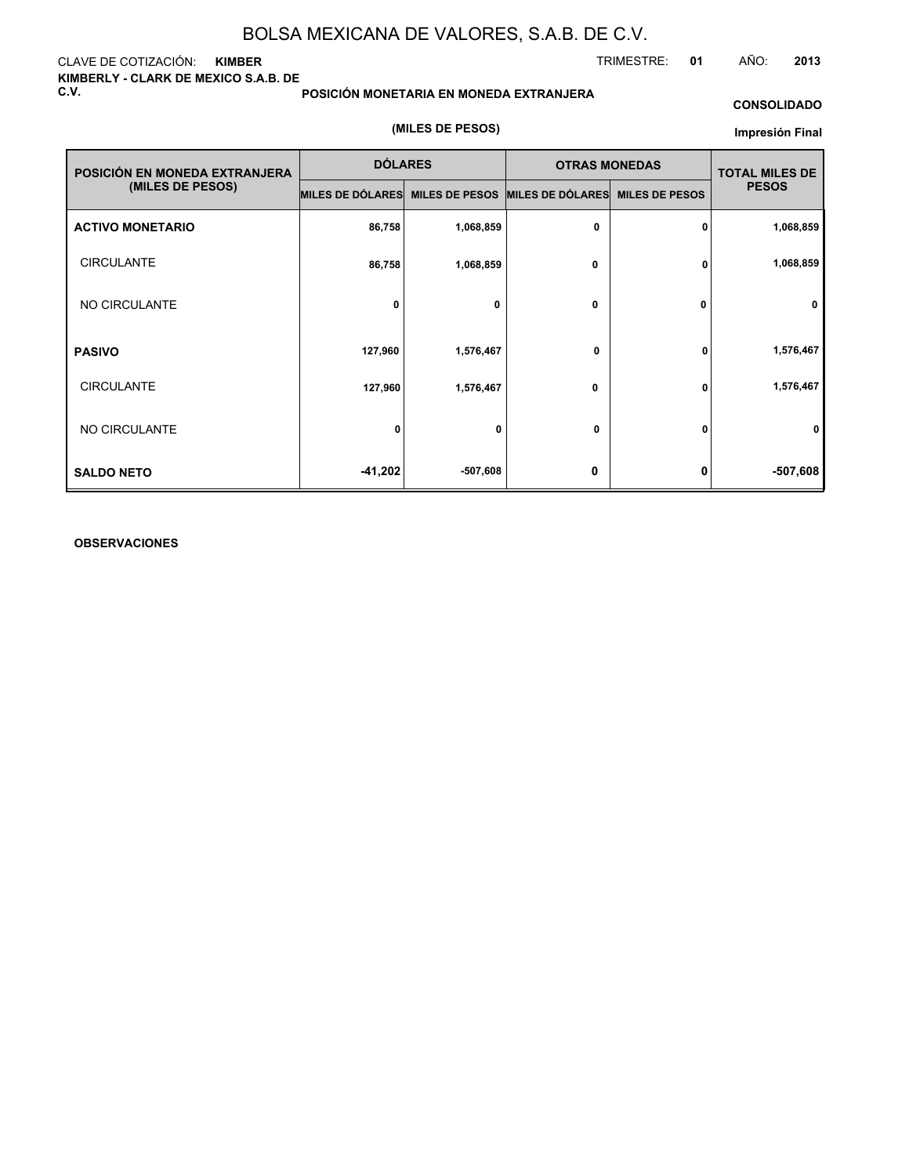CLAVE DE COTIZACIÓN: **KIMBER KIMBERLY - CLARK DE MEXICO S.A.B. DE C.V.**

**POSICIÓN MONETARIA EN MONEDA EXTRANJERA**

#### **CONSOLIDADO**

TRIMESTRE: **01** AÑO: **2013**

#### **(MILES DE PESOS)**

#### **Impresión Final**

| POSICIÓN EN MONEDA EXTRANJERA | <b>DÓLARES</b>                                   |           | <b>OTRAS MONEDAS</b> | <b>TOTAL MILES DE</b> |              |
|-------------------------------|--------------------------------------------------|-----------|----------------------|-----------------------|--------------|
| (MILES DE PESOS)              | MILES DE DÓLARES MILES DE PESOS MILES DE DÓLARES |           |                      | <b>MILES DE PESOS</b> | <b>PESOS</b> |
| <b>ACTIVO MONETARIO</b>       | 86,758                                           | 1,068,859 | 0                    | 0                     | 1,068,859    |
| <b>CIRCULANTE</b>             | 86,758                                           | 1,068,859 | 0                    | 0                     | 1,068,859    |
| NO CIRCULANTE                 | 0                                                | 0         | $\mathbf 0$          | 0                     | 0            |
| <b>PASIVO</b>                 | 127,960                                          | 1,576,467 | 0                    | 0                     | 1,576,467    |
| <b>CIRCULANTE</b>             | 127,960                                          | 1,576,467 | 0                    | 0                     | 1,576,467    |
| NO CIRCULANTE                 | 0                                                | 0         | 0                    | 0                     | 0            |
| <b>SALDO NETO</b>             | $-41,202$                                        | -507,608  | 0                    | 0                     | -507,608     |

#### **OBSERVACIONES**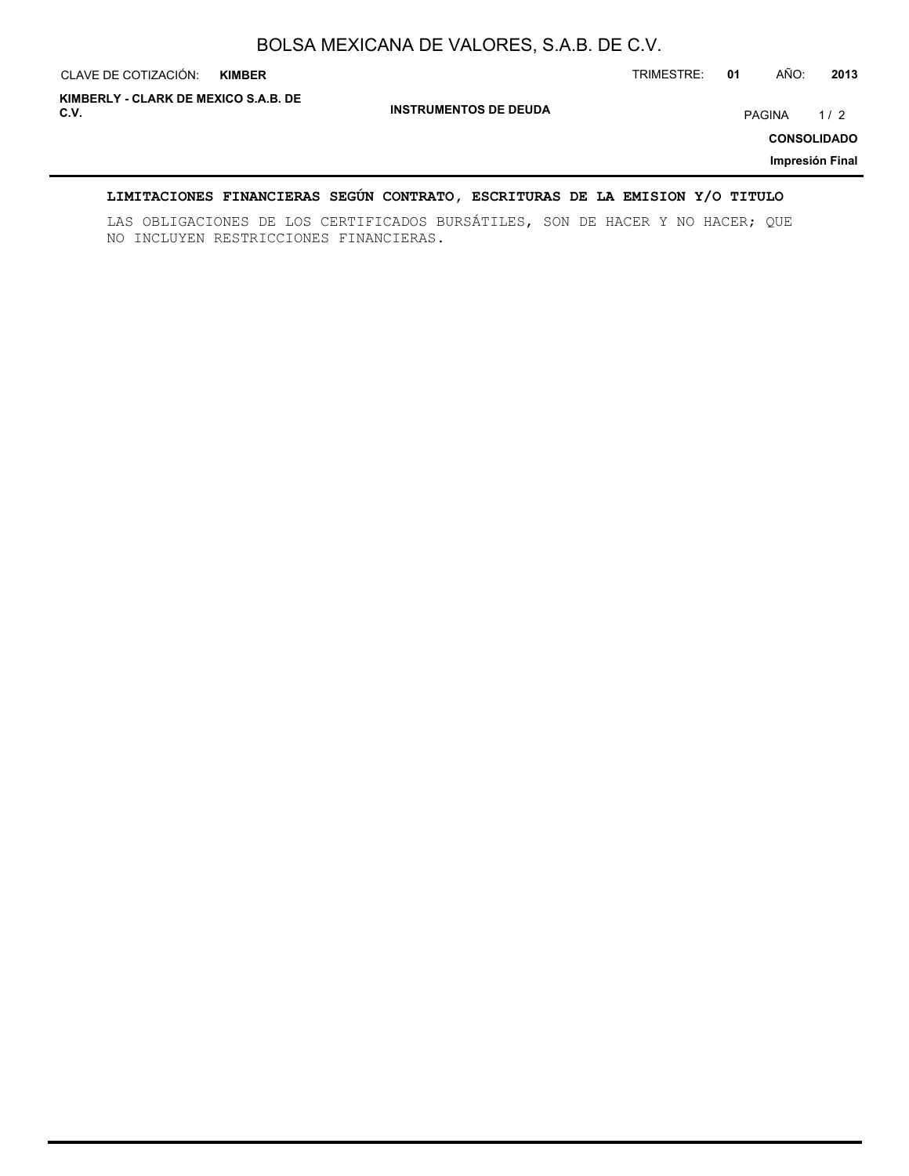| CLAVE DE COTIZACIÓN:                         | <b>KIMBER</b> |                              | TRIMESTRE: | 01 | AÑO:   | 2013                                         |
|----------------------------------------------|---------------|------------------------------|------------|----|--------|----------------------------------------------|
| KIMBERLY - CLARK DE MEXICO S.A.B. DE<br>C.V. |               | <b>INSTRUMENTOS DE DEUDA</b> |            |    | PAGINA | 1/2<br><b>CONSOLIDADO</b><br>Impresión Final |

## **LIMITACIONES FINANCIERAS SEGÚN CONTRATO, ESCRITURAS DE LA EMISION Y/O TITULO**

LAS OBLIGACIONES DE LOS CERTIFICADOS BURSÁTILES, SON DE HACER Y NO HACER; QUE NO INCLUYEN RESTRICCIONES FINANCIERAS.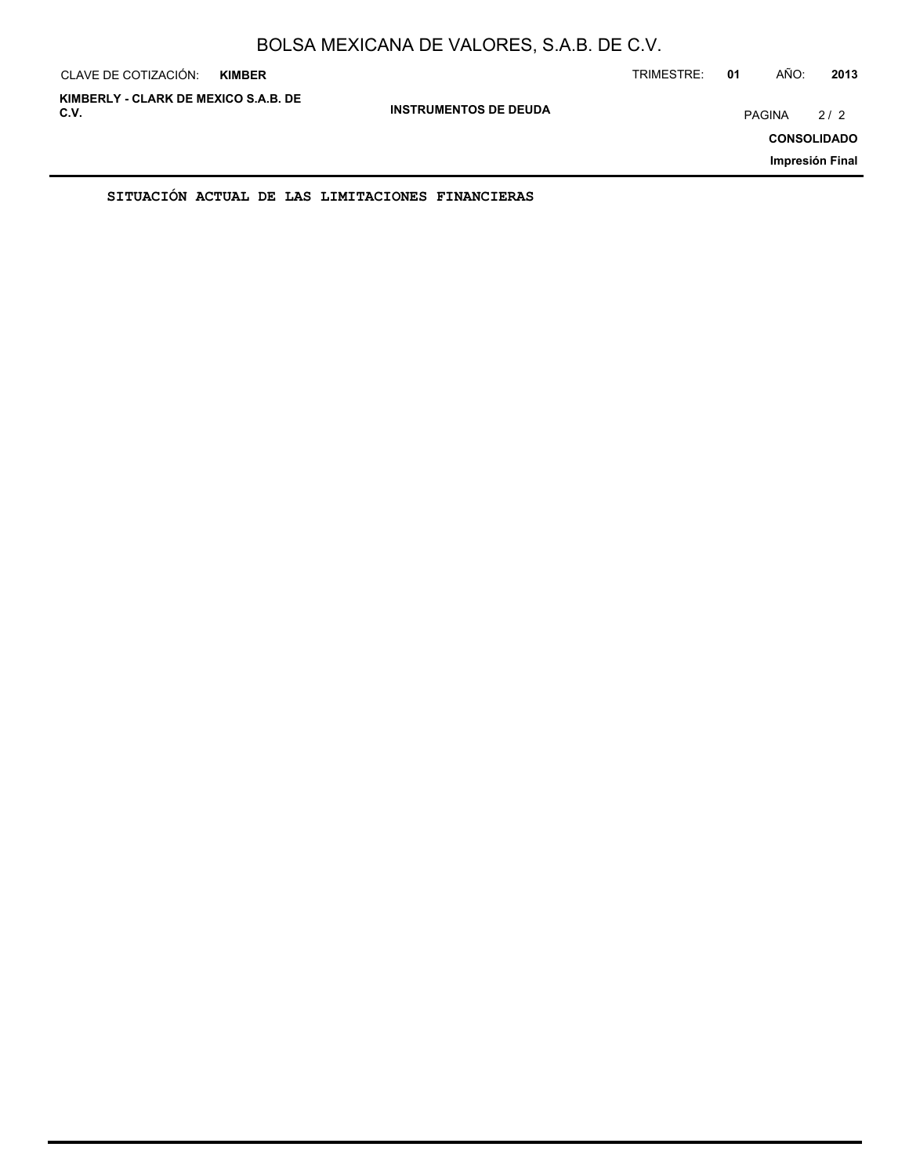| CLAVE DE COTIZACIÓN:                         | <b>KIMBER</b> |                              | TRIMESTRE: | 01 | AÑO:   | 2013                                         |
|----------------------------------------------|---------------|------------------------------|------------|----|--------|----------------------------------------------|
| KIMBERLY - CLARK DE MEXICO S.A.B. DE<br>C.V. |               | <b>INSTRUMENTOS DE DEUDA</b> |            |    | PAGINA | 2/2<br><b>CONSOLIDADO</b><br>Impresión Final |
|                                              |               |                              |            |    |        |                                              |

**SITUACIÓN ACTUAL DE LAS LIMITACIONES FINANCIERAS**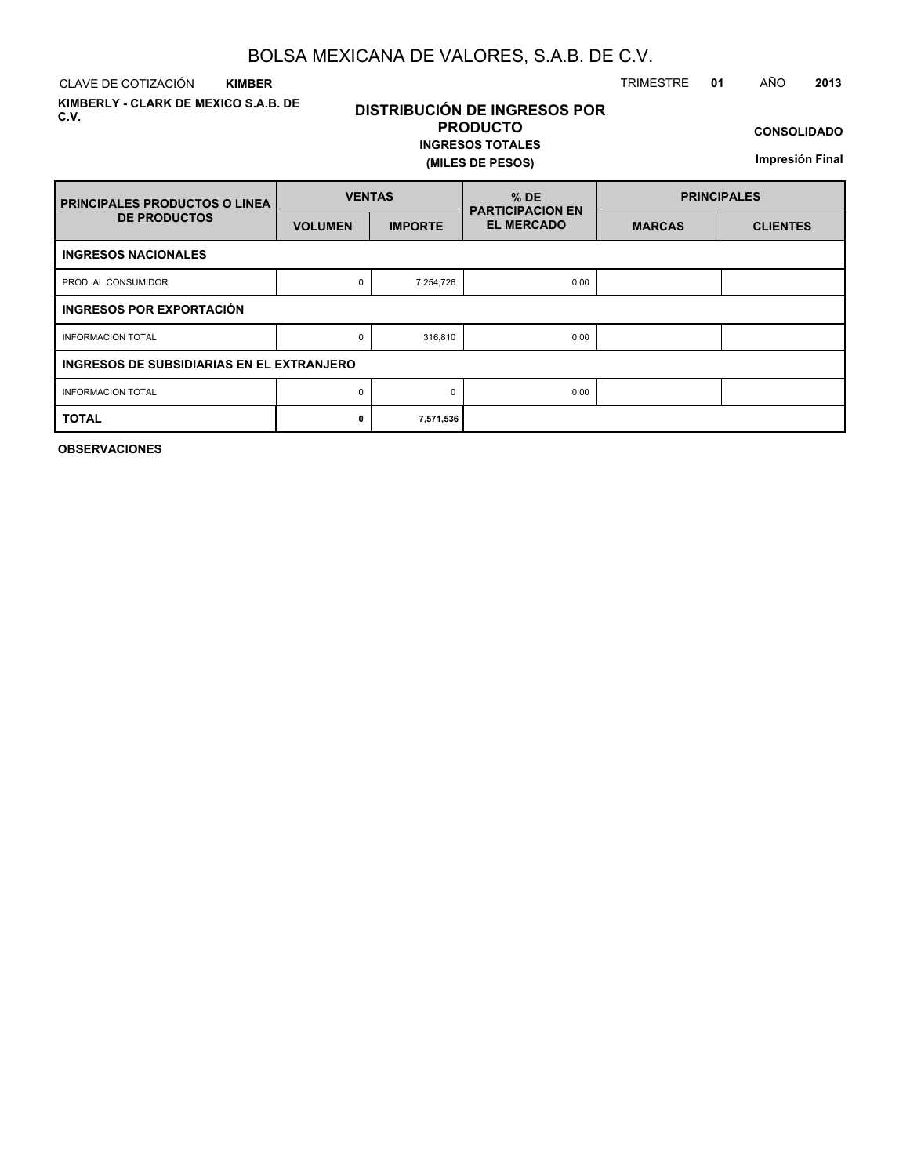CLAVE DE COTIZACIÓN TRIMESTRE **01** AÑO **2013 KIMBER**

**KIMBERLY - CLARK DE MEXICO S.A.B. DE C.V.**

## **DISTRIBUCIÓN DE INGRESOS POR PRODUCTO**

### **INGRESOS TOTALES (MILES DE PESOS)**

**CONSOLIDADO**

**Impresión Final**

| <b>PRINCIPALES PRODUCTOS O LINEA</b>      | <b>VENTAS</b>  |                | $%$ DE<br><b>PARTICIPACION EN</b> | <b>PRINCIPALES</b> |                 |  |  |  |  |  |  |
|-------------------------------------------|----------------|----------------|-----------------------------------|--------------------|-----------------|--|--|--|--|--|--|
| <b>DE PRODUCTOS</b>                       | <b>VOLUMEN</b> | <b>IMPORTE</b> | <b>EL MERCADO</b>                 | <b>MARCAS</b>      | <b>CLIENTES</b> |  |  |  |  |  |  |
| <b>INGRESOS NACIONALES</b>                |                |                |                                   |                    |                 |  |  |  |  |  |  |
| PROD. AL CONSUMIDOR                       | 0              | 7,254,726      | 0.00                              |                    |                 |  |  |  |  |  |  |
| <b>INGRESOS POR EXPORTACIÓN</b>           |                |                |                                   |                    |                 |  |  |  |  |  |  |
| <b>INFORMACION TOTAL</b>                  | 0              | 316,810        | 0.00                              |                    |                 |  |  |  |  |  |  |
| INGRESOS DE SUBSIDIARIAS EN EL EXTRANJERO |                |                |                                   |                    |                 |  |  |  |  |  |  |
| <b>INFORMACION TOTAL</b>                  | 0              | $\Omega$       | 0.00                              |                    |                 |  |  |  |  |  |  |
| <b>TOTAL</b>                              | 0              | 7,571,536      |                                   |                    |                 |  |  |  |  |  |  |

**OBSERVACIONES**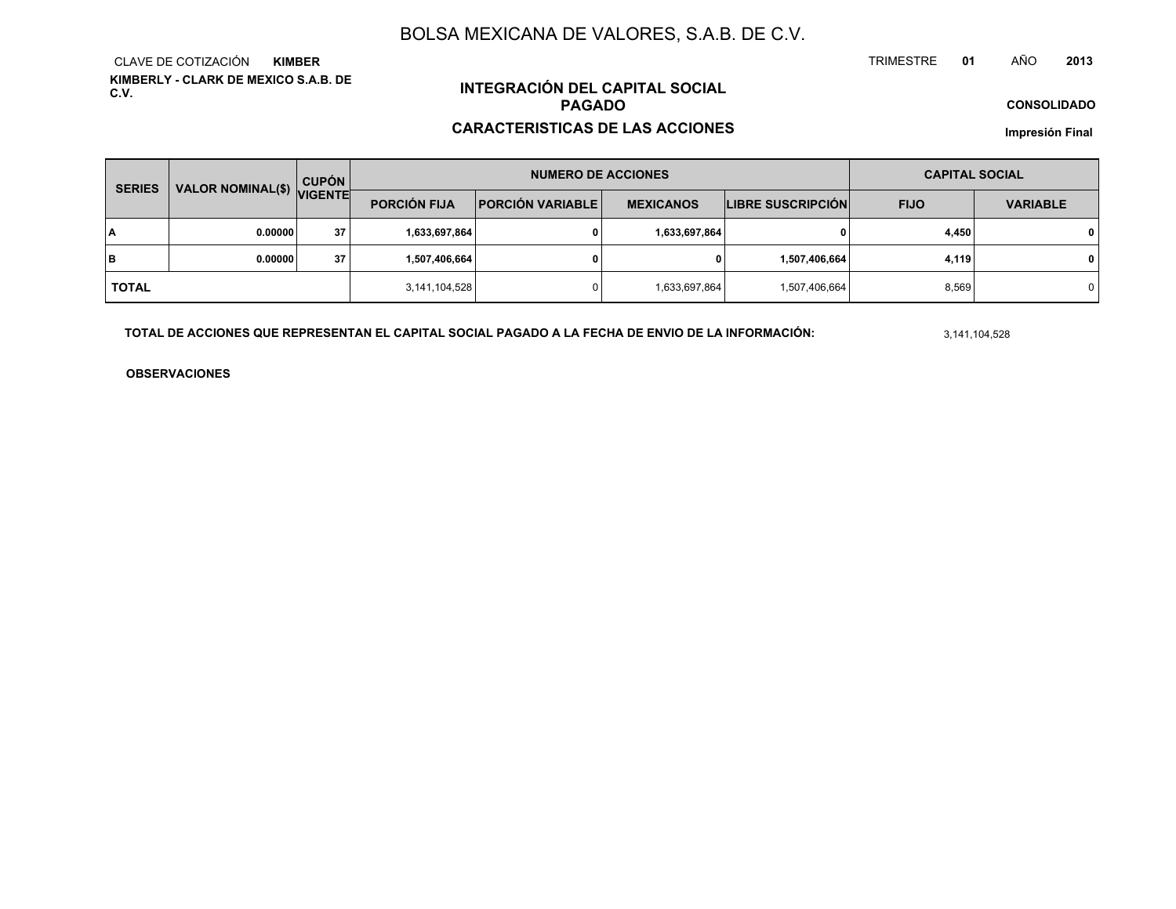**KIMBERLY - CLARK DE MEXICO S.A.B. DE C.V.**CLAVE DE COTIZACIÓN**KIMBER**

## **INTEGRACIÓN DEL CAPITAL SOCIALPAGADO**

#### **CARACTERISTICAS DE LAS ACCIONES**

**CONSOLIDADO**

**Impresión Final**

| <b>SERIES</b> | VALOR NOMINAL(\$) VIGENTE | <b>CUPÓN</b> | <b>NUMERO DE ACCIONES</b> |                         |                  |                          | <b>CAPITAL SOCIAL</b> |                 |  |
|---------------|---------------------------|--------------|---------------------------|-------------------------|------------------|--------------------------|-----------------------|-----------------|--|
|               |                           |              | <b>PORCIÓN FIJA</b>       | <b>PORCIÓN VARIABLE</b> | <b>MEXICANOS</b> | <b>LIBRE SUSCRIPCIÓN</b> | <b>FIJO</b>           | <b>VARIABLE</b> |  |
| ١A            | 0.00000                   | 37           | 1,633,697,864             |                         | 1,633,697,864    | 0                        | 4,450                 | $\mathbf{0}$    |  |
| lв            | 0.00000                   | 37           | 1,507,406,664             |                         | 0                | 1,507,406,664            | 4,119                 | $\mathbf{0}$    |  |
| <b>TOTAL</b>  |                           |              | 3,141,104,528             |                         | 1,633,697,864    | 1,507,406,664            | 8,569                 | $\mathbf 0$     |  |

**TOTAL DE ACCIONES QUE REPRESENTAN EL CAPITAL SOCIAL PAGADO A LA FECHA DE ENVIO DE LA INFORMACIÓN:**

3,141,104,528

TRIMESTRE

**OBSERVACIONES**

 **<sup>01</sup>** AÑO**<sup>2013</sup>**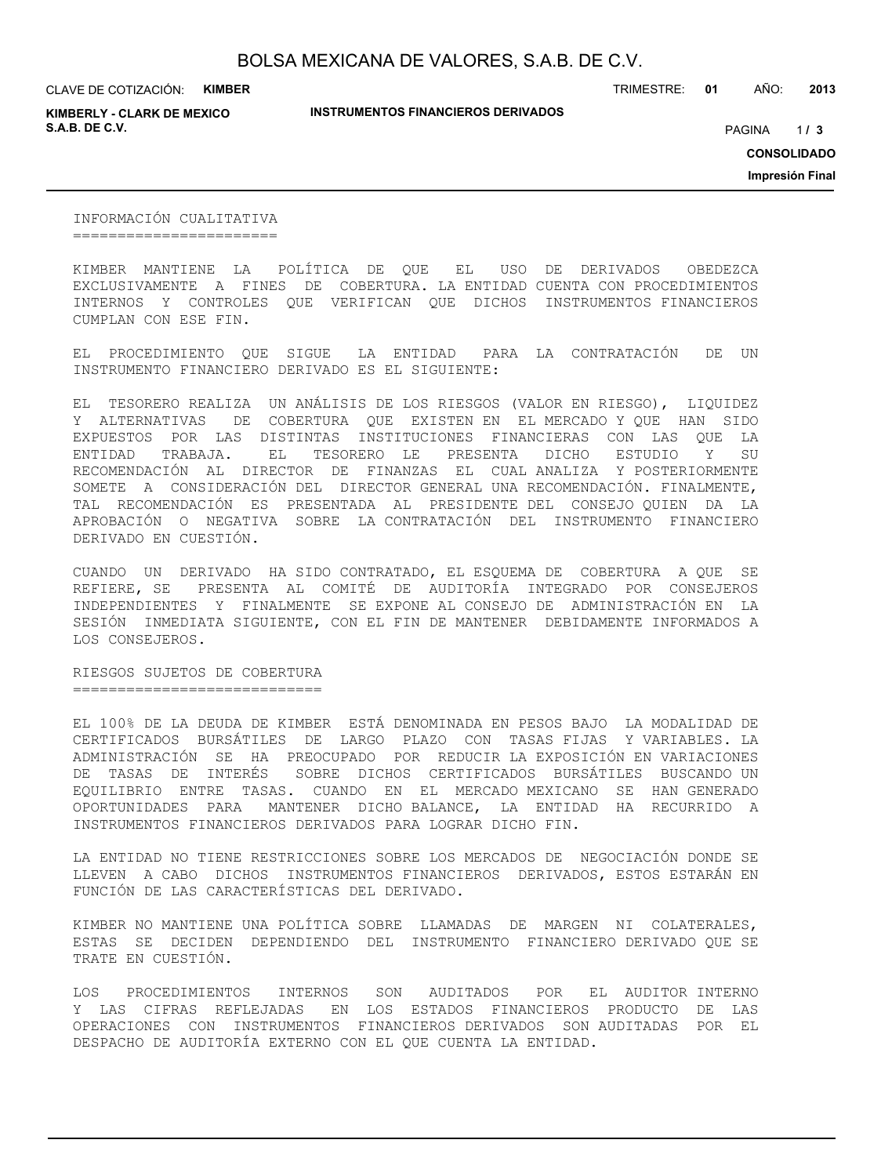CLAVE DE COTIZACIÓN: **KIMBER**

**KIMBERLY - CLARK DE MEXICO S.A.B. DE C.V.** PAGINA **/ 3**

**INSTRUMENTOS FINANCIEROS DERIVADOS**

TRIMESTRE: **01** AÑO: **2013**

 $1/3$ 

**CONSOLIDADO**

**Impresión Final**

INFORMACIÓN CUALITATIVA =======================

KIMBER MANTIENE LA POLÍTICA DE QUE EL USO DE DERIVADOS OBEDEZCA EXCLUSIVAMENTE A FINES DE COBERTURA. LA ENTIDAD CUENTA CON PROCEDIMIENTOS INTERNOS Y CONTROLES QUE VERIFICAN QUE DICHOS INSTRUMENTOS FINANCIEROS CUMPLAN CON ESE FIN.

EL PROCEDIMIENTO QUE SIGUE LA ENTIDAD PARA LA CONTRATACIÓN DE UN INSTRUMENTO FINANCIERO DERIVADO ES EL SIGUIENTE:

EL TESORERO REALIZA UN ANÁLISIS DE LOS RIESGOS (VALOR EN RIESGO), LIQUIDEZ Y ALTERNATIVAS DE COBERTURA QUE EXISTEN EN EL MERCADO Y QUE HAN SIDO EXPUESTOS POR LAS DISTINTAS INSTITUCIONES FINANCIERAS CON LAS QUE LA ENTIDAD TRABAJA. EL TESORERO LE PRESENTA DICHO ESTUDIO Y SU RECOMENDACIÓN AL DIRECTOR DE FINANZAS EL CUAL ANALIZA Y POSTERIORMENTE SOMETE A CONSIDERACIÓN DEL DIRECTOR GENERAL UNA RECOMENDACIÓN. FINALMENTE, TAL RECOMENDACIÓN ES PRESENTADA AL PRESIDENTE DEL CONSEJO QUIEN DA LA APROBACIÓN O NEGATIVA SOBRE LA CONTRATACIÓN DEL INSTRUMENTO FINANCIERO DERIVADO EN CUESTIÓN.

CUANDO UN DERIVADO HA SIDO CONTRATADO, EL ESQUEMA DE COBERTURA A QUE SE REFIERE, SE PRESENTA AL COMITÉ DE AUDITORÍA INTEGRADO POR CONSEJEROS INDEPENDIENTES Y FINALMENTE SE EXPONE AL CONSEJO DE ADMINISTRACIÓN EN LA SESIÓN INMEDIATA SIGUIENTE, CON EL FIN DE MANTENER DEBIDAMENTE INFORMADOS A LOS CONSEJEROS.

RIESGOS SUJETOS DE COBERTURA ============================

EL 100% DE LA DEUDA DE KIMBER ESTÁ DENOMINADA EN PESOS BAJO LA MODALIDAD DE CERTIFICADOS BURSÁTILES DE LARGO PLAZO CON TASAS FIJAS Y VARIABLES. LA ADMINISTRACIÓN SE HA PREOCUPADO POR REDUCIR LA EXPOSICIÓN EN VARIACIONES DE TASAS DE INTERÉS SOBRE DICHOS CERTIFICADOS BURSÁTILES BUSCANDO UN EQUILIBRIO ENTRE TASAS. CUANDO EN EL MERCADO MEXICANO SE HAN GENERADO OPORTUNIDADES PARA MANTENER DICHO BALANCE, LA ENTIDAD HA RECURRIDO A INSTRUMENTOS FINANCIEROS DERIVADOS PARA LOGRAR DICHO FIN.

LA ENTIDAD NO TIENE RESTRICCIONES SOBRE LOS MERCADOS DE NEGOCIACIÓN DONDE SE LLEVEN A CABO DICHOS INSTRUMENTOS FINANCIEROS DERIVADOS, ESTOS ESTARÁN EN FUNCIÓN DE LAS CARACTERÍSTICAS DEL DERIVADO.

KIMBER NO MANTIENE UNA POLÍTICA SOBRE LLAMADAS DE MARGEN NI COLATERALES, ESTAS SE DECIDEN DEPENDIENDO DEL INSTRUMENTO FINANCIERO DERIVADO QUE SE TRATE EN CUESTIÓN.

LOS PROCEDIMIENTOS INTERNOS SON AUDITADOS POR EL AUDITOR INTERNO Y LAS CIFRAS REFLEJADAS EN LOS ESTADOS FINANCIEROS PRODUCTO DE LAS OPERACIONES CON INSTRUMENTOS FINANCIEROS DERIVADOS SON AUDITADAS POR EL DESPACHO DE AUDITORÍA EXTERNO CON EL QUE CUENTA LA ENTIDAD.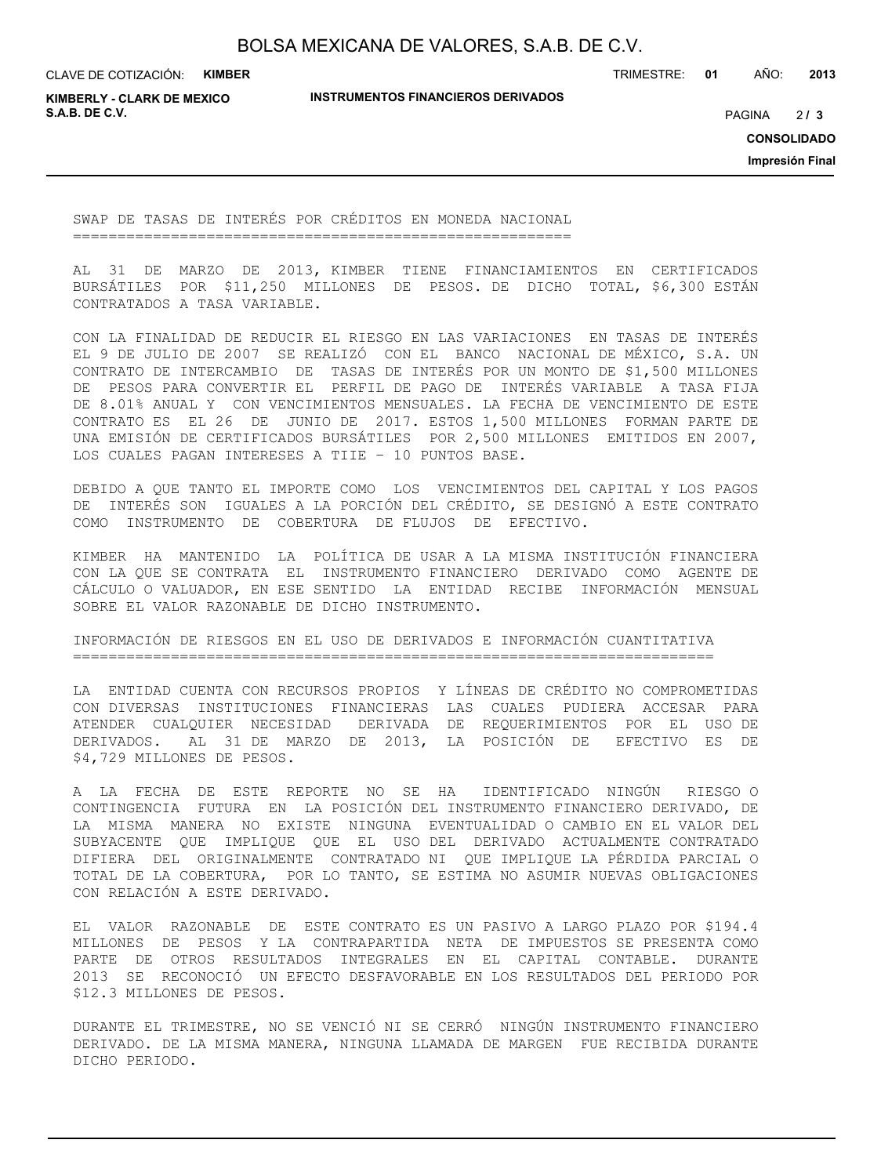CLAVE DE COTIZACIÓN: **KIMBER**

**INSTRUMENTOS FINANCIEROS DERIVADOS**

TRIMESTRE: **01** AÑO: **2013**

**KIMBERLY - CLARK DE MEXICO S.A.B. DE C.V.** PAGINA **/ 3**

 $213$ 

**CONSOLIDADO**

**Impresión Final**

SWAP DE TASAS DE INTERÉS POR CRÉDITOS EN MONEDA NACIONAL ========================================================

AL 31 DE MARZO DE 2013, KIMBER TIENE FINANCIAMIENTOS EN CERTIFICADOS BURSÁTILES POR \$11,250 MILLONES DE PESOS. DE DICHO TOTAL, \$6,300 ESTÁN CONTRATADOS A TASA VARIABLE.

CON LA FINALIDAD DE REDUCIR EL RIESGO EN LAS VARIACIONES EN TASAS DE INTERÉS EL 9 DE JULIO DE 2007 SE REALIZÓ CON EL BANCO NACIONAL DE MÉXICO, S.A. UN CONTRATO DE INTERCAMBIO DE TASAS DE INTERÉS POR UN MONTO DE \$1,500 MILLONES DE PESOS PARA CONVERTIR EL PERFIL DE PAGO DE INTERÉS VARIABLE A TASA FIJA DE 8.01% ANUAL Y CON VENCIMIENTOS MENSUALES. LA FECHA DE VENCIMIENTO DE ESTE CONTRATO ES EL 26 DE JUNIO DE 2017. ESTOS 1,500 MILLONES FORMAN PARTE DE UNA EMISIÓN DE CERTIFICADOS BURSÁTILES POR 2,500 MILLONES EMITIDOS EN 2007, LOS CUALES PAGAN INTERESES A TIIE – 10 PUNTOS BASE.

DEBIDO A QUE TANTO EL IMPORTE COMO LOS VENCIMIENTOS DEL CAPITAL Y LOS PAGOS DE INTERÉS SON IGUALES A LA PORCIÓN DEL CRÉDITO, SE DESIGNÓ A ESTE CONTRATO COMO INSTRUMENTO DE COBERTURA DE FLUJOS DE EFECTIVO.

KIMBER HA MANTENIDO LA POLÍTICA DE USAR A LA MISMA INSTITUCIÓN FINANCIERA CON LA QUE SE CONTRATA EL INSTRUMENTO FINANCIERO DERIVADO COMO AGENTE DE CÁLCULO O VALUADOR, EN ESE SENTIDO LA ENTIDAD RECIBE INFORMACIÓN MENSUAL SOBRE EL VALOR RAZONABLE DE DICHO INSTRUMENTO.

INFORMACIÓN DE RIESGOS EN EL USO DE DERIVADOS E INFORMACIÓN CUANTITATIVA ========================================================================

LA ENTIDAD CUENTA CON RECURSOS PROPIOS Y LÍNEAS DE CRÉDITO NO COMPROMETIDAS CON DIVERSAS INSTITUCIONES FINANCIERAS LAS CUALES PUDIERA ACCESAR PARA ATENDER CUALQUIER NECESIDAD DERIVADA DE REQUERIMIENTOS POR EL USO DE DERIVADOS. AL 31 DE MARZO DE 2013, LA POSICIÓN DE EFECTIVO ES DE \$4,729 MILLONES DE PESOS.

A LA FECHA DE ESTE REPORTE NO SE HA IDENTIFICADO NINGÚN RIESGO O CONTINGENCIA FUTURA EN LA POSICIÓN DEL INSTRUMENTO FINANCIERO DERIVADO, DE LA MISMA MANERA NO EXISTE NINGUNA EVENTUALIDAD O CAMBIO EN EL VALOR DEL SUBYACENTE QUE IMPLIQUE QUE EL USO DEL DERIVADO ACTUALMENTE CONTRATADO DIFIERA DEL ORIGINALMENTE CONTRATADO NI QUE IMPLIQUE LA PÉRDIDA PARCIAL O TOTAL DE LA COBERTURA, POR LO TANTO, SE ESTIMA NO ASUMIR NUEVAS OBLIGACIONES CON RELACIÓN A ESTE DERIVADO.

EL VALOR RAZONABLE DE ESTE CONTRATO ES UN PASIVO A LARGO PLAZO POR \$194.4 MILLONES DE PESOS Y LA CONTRAPARTIDA NETA DE IMPUESTOS SE PRESENTA COMO PARTE DE OTROS RESULTADOS INTEGRALES EN EL CAPITAL CONTABLE. DURANTE 2013 SE RECONOCIÓ UN EFECTO DESFAVORABLE EN LOS RESULTADOS DEL PERIODO POR \$12.3 MILLONES DE PESOS.

DURANTE EL TRIMESTRE, NO SE VENCIÓ NI SE CERRÓ NINGÚN INSTRUMENTO FINANCIERO DERIVADO. DE LA MISMA MANERA, NINGUNA LLAMADA DE MARGEN FUE RECIBIDA DURANTE DICHO PERIODO.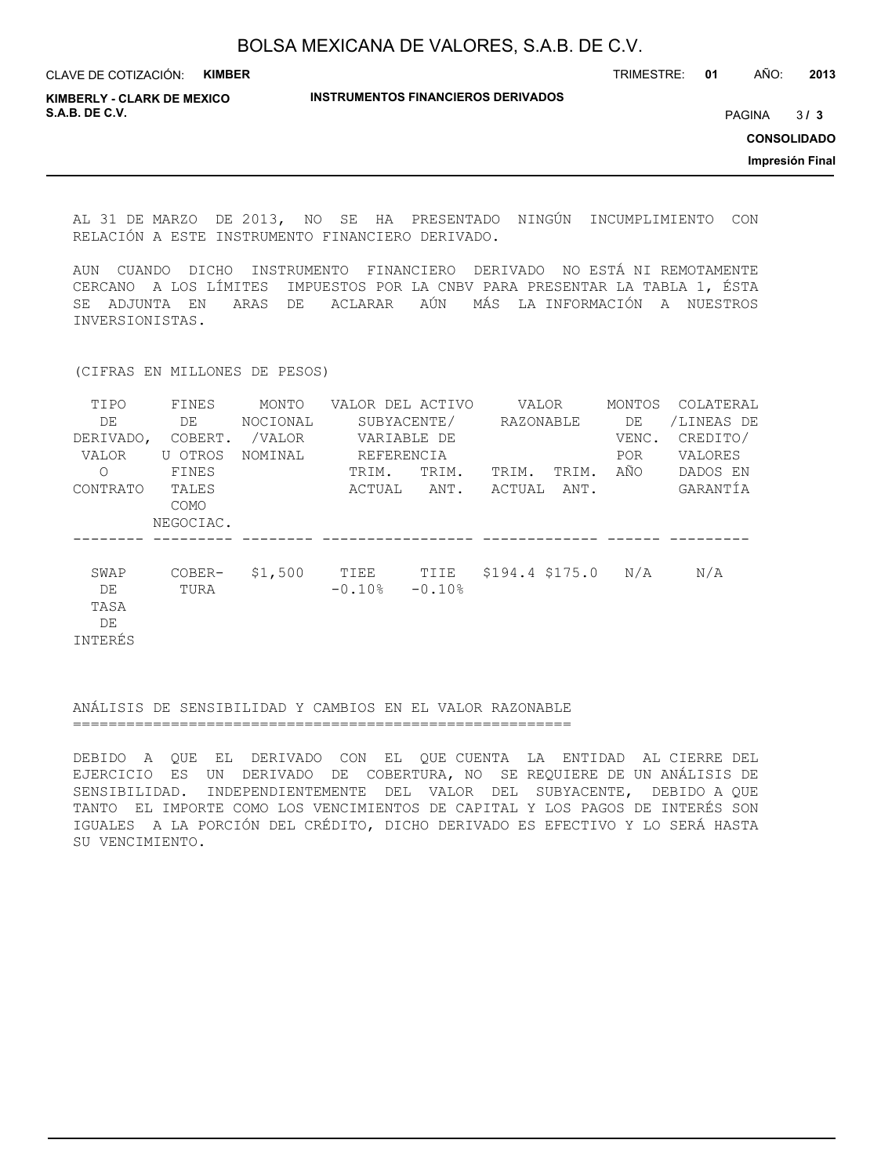| <b>KIMBER</b><br>CLAVE DE COTIZACIÓN:               |                                           | TRIMESTRE: | 01                 | AÑO:          | 2013 |
|-----------------------------------------------------|-------------------------------------------|------------|--------------------|---------------|------|
| <b>KIMBERLY - CLARK DE MEXICO</b><br>S.A.B. DE C.V. | <b>INSTRUMENTOS FINANCIEROS DERIVADOS</b> |            |                    | <b>PAGINA</b> | 3/3  |
|                                                     |                                           |            | <b>CONSOLIDADO</b> |               |      |
|                                                     |                                           |            | Impresión Final    |               |      |
|                                                     |                                           |            |                    |               |      |

AL 31 DE MARZO DE 2013, NO SE HA PRESENTADO NINGÚN INCUMPLIMIENTO CON RELACIÓN A ESTE INSTRUMENTO FINANCIERO DERIVADO.

AUN CUANDO DICHO INSTRUMENTO FINANCIERO DERIVADO NO ESTÁ NI REMOTAMENTE CERCANO A LOS LÍMITES IMPUESTOS POR LA CNBV PARA PRESENTAR LA TABLA 1, ÉSTA SE ADJUNTA EN ARAS DE ACLARAR AÚN MÁS LA INFORMACIÓN A NUESTROS INVERSIONISTAS.

(CIFRAS EN MILLONES DE PESOS)

| TIPO      | FINES       | MONTO    | VALOR DEL ACTIVO |          |                   | VALOR     |       | COLATERAL  |
|-----------|-------------|----------|------------------|----------|-------------------|-----------|-------|------------|
| DE        | DE          | NOCIONAL | SUBYACENTE/      |          |                   | RAZONABLE |       | /LINEAS DE |
| DERIVADO, | COBERT.     | /VALOR   | VARIABLE DE      |          |                   |           | VENC. | CREDITO/   |
| VALOR     | U OTROS     | NOMINAL  | REFERENCIA       |          |                   |           |       | VALORES    |
| Ω         | FINES       |          | TRIM.            | TRIM.    | TRIM.             | TRIM.     | AÑO   | DADOS EN   |
| CONTRATO  | TALES       |          | ACTUAL           | ANT.     | ACTUAL            | ANT.      |       | GARANTIA   |
|           | <b>COMO</b> |          |                  |          |                   |           |       |            |
|           | NEGOCIAC.   |          |                  |          |                   |           |       |            |
|           |             |          |                  |          |                   |           |       |            |
| SWAP      | COBER-      | \$1,500  | TIEE             | TIIE     | $$194.4$ $$175.0$ |           | N/A   | N/A        |
| DE        | TURA        |          | $-0.10%$         | $-0.10%$ |                   |           |       |            |
| TASA      |             |          |                  |          |                   |           |       |            |
| DE        |             |          |                  |          |                   |           |       |            |
| INTERÉS   |             |          |                  |          |                   |           |       |            |

#### ANÁLISIS DE SENSIBILIDAD Y CAMBIOS EN EL VALOR RAZONABLE ========================================================

DEBIDO A QUE EL DERIVADO CON EL QUE CUENTA LA ENTIDAD AL CIERRE DEL EJERCICIO ES UN DERIVADO DE COBERTURA, NO SE REQUIERE DE UN ANÁLISIS DE SENSIBILIDAD. INDEPENDIENTEMENTE DEL VALOR DEL SUBYACENTE, DEBIDO A QUE TANTO EL IMPORTE COMO LOS VENCIMIENTOS DE CAPITAL Y LOS PAGOS DE INTERÉS SON IGUALES A LA PORCIÓN DEL CRÉDITO, DICHO DERIVADO ES EFECTIVO Y LO SERÁ HASTA SU VENCIMIENTO.